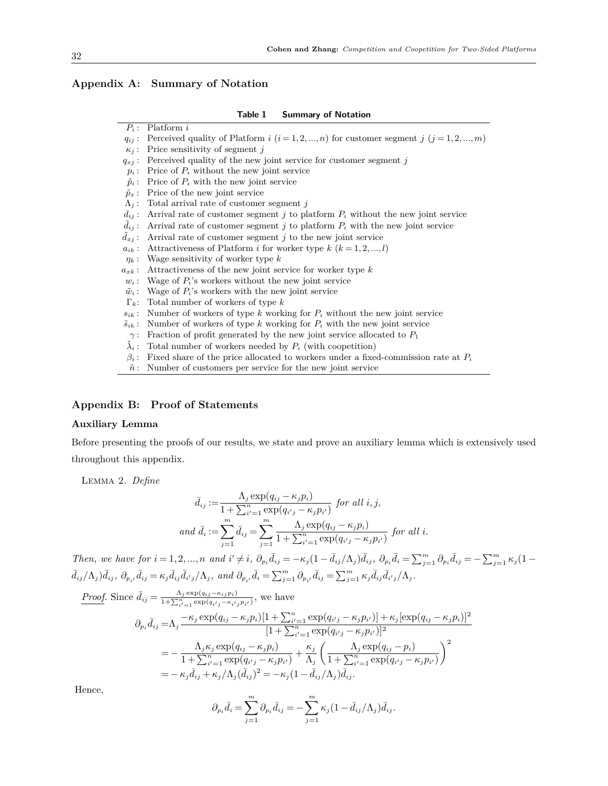|  |  | Appendix A: Summary of Notation |
|--|--|---------------------------------|
|  |  |                                 |

| Table 1 | <b>Summary of Notation</b> |  |  |
|---------|----------------------------|--|--|
|---------|----------------------------|--|--|

| $P_i$ :                | Platform i                                                                                     |  |  |  |  |
|------------------------|------------------------------------------------------------------------------------------------|--|--|--|--|
| $q_{ij}$ :             | Perceived quality of Platform $i$ $(i = 1, 2, , n)$ for customer segment $j$ $(j = 1, 2, , m)$ |  |  |  |  |
| $\kappa_i$ :           | Price sensitivity of segment $i$                                                               |  |  |  |  |
| $q_{xj}:$              | Perceived quality of the new joint service for customer segment j                              |  |  |  |  |
| $p_i$ :                | Price of $P_i$ without the new joint service                                                   |  |  |  |  |
| $\tilde{p}_i$ :        | Price of $P_i$ with the new joint service                                                      |  |  |  |  |
| $\tilde{p}_x$ :        | Price of the new joint service                                                                 |  |  |  |  |
| $\Lambda_i$ :          | Total arrival rate of customer segment j                                                       |  |  |  |  |
| $d_{ij}$ :             | Arrival rate of customer segment j to platform $P_i$ without the new joint service             |  |  |  |  |
| $d_{ij}$ :             | Arrival rate of customer segment j to platform $P_i$ with the new joint service                |  |  |  |  |
| $d_{xi}$ :             | Arrival rate of customer segment $j$ to the new joint service                                  |  |  |  |  |
| $a_{ik}$ :             | Attractiveness of Platform <i>i</i> for worker type $k$ ( $k = 1, 2, , l$ )                    |  |  |  |  |
|                        | $\eta_k$ : Wage sensitivity of worker type k                                                   |  |  |  |  |
| $a_{x\boldsymbol k}$ : | Attractiveness of the new joint service for worker type k                                      |  |  |  |  |
| $w_i$ :                | Wage of $P_i$ 's workers without the new joint service                                         |  |  |  |  |
| $\tilde{w}_i$ :        | Wage of $P_i$ 's workers with the new joint service                                            |  |  |  |  |
| $\Gamma_k$ :           | Total number of workers of type $k$                                                            |  |  |  |  |
| $s_{ik}$ :             | Number of workers of type k working for $P_i$ without the new joint service                    |  |  |  |  |
| $\tilde{s}_{ik}$ :     | Number of workers of type $k$ working for $P_i$ with the new joint service                     |  |  |  |  |
| $\gamma$ :             | Fraction of profit generated by the new joint service allocated to $P_1$                       |  |  |  |  |
| $\lambda_i$ :          | Total number of workers needed by $P_i$ (with coopetition)                                     |  |  |  |  |
| $\beta_i$ :            | Fixed share of the price allocated to workers under a fixed-commission rate at $P_i$           |  |  |  |  |
|                        | $\tilde{n}$ : Number of customers per service for the new joint service                        |  |  |  |  |

# **Appendix B: Proof of Statements**

## **Auxiliary Lemma**

Before presenting the proofs of our results, we state and prove an auxiliary lemma which is extensively used throughout this appendix.

Lemma 2. *Define*

$$
\bar{d}_{ij} := \frac{\Lambda_j \exp(q_{ij} - \kappa_j p_i)}{1 + \sum_{i'=1}^n \exp(q_{i'j} - \kappa_j p_{i'})} \text{ for all } i, j,
$$
\n
$$
\text{and } \bar{d}_i := \sum_{j=1}^m \bar{d}_{ij} = \sum_{j=1}^m \frac{\Lambda_j \exp(q_{ij} - \kappa_j p_i)}{1 + \sum_{i'=1}^n \exp(q_{i'j} - \kappa_j p_{i'})} \text{ for all } i.
$$

Then, we have for  $i = 1, 2, ..., n$  and  $i' \neq i$ ,  $\partial_{p_i} \bar{d}_{ij} = -\kappa_j (1 - \bar{d}_{ij} / \Lambda_j) \bar{d}_{ij}$ ,  $\partial_{p_i} \bar{d}_i = \sum_{j=1}^m \partial_{p_i} \bar{d}_{ij} = -\sum_{j=1}^m \kappa_j (1 - \bar{d}_{ij} / \Lambda_j) \bar{d}_{ij}$  $\bar{d}_{ij}/\Lambda_j\big)\bar{d}_{ij},\ \partial_{p_{i'}}\bar{d}_{ij}=\kappa_j\bar{d}_{ij}\bar{d}_{i'j}/\Lambda_j,\ and\ \partial_{p_{i'}}\bar{d}_i=\sum_{j=1}^m\partial_{p_{i'}}\bar{d}_{ij}=\sum_{j=1}^m\kappa_j\bar{d}_{ij}\bar{d}_{i'j}/\Lambda_j.$ 

*Proof.* Since  $\bar{d}_{ij} = \frac{\Lambda_j \exp(q_{ij} - \kappa_{ij}p_i)}{1 + \sum_{i'=1}^n \exp(q_{i'j} - \kappa_{i'j}p_{i'})}$ , we have  $\partial_{p_i}\bar{d}_{ij} = \Lambda_j \frac{-\kappa_j \exp(q_{ij} - \kappa_j p_i)[1 + \sum_{i'=1}^n \exp(q_{i'j} - \kappa_j p_{i'})] + \kappa_j [\exp(q_{ij} - \kappa_j p_i)]^2}{[1 + \sum_{i'=1}^n \exp(q_{i,i} - \kappa_j p_i)]^2}$  $[1 + \sum_{i'=1}^{n} \exp(q_{i'j} - \kappa_j p_{i'})]^2$  $=-\frac{\Lambda_j \kappa_j \exp(q_{ij} - \kappa_j p_i)}{1 + \sum_{i=1}^n$  $\frac{\Lambda_j \kappa_j \exp(q_{ij} - \kappa_j p_i)}{1 + \sum_{i'=1}^n \exp(q_{i'j} - \kappa_j p_{i'})} + \frac{\kappa_j}{\Lambda_j}$ Λ*j*  $\Lambda_j \exp(q_{ij} - p_i)$  $\frac{1 + \sum_{i'=1}^{n} \exp(q_{i'j} - \kappa_j p_{i'})}{1 + \sum_{i'=1}^{n} \exp(q_{i'j} - \kappa_j p_{i'})}$  $\setminus^2$  $=$   $- \kappa_j \bar{d}_{ij} + \kappa_j / \Lambda_j (\bar{d}_{ij})^2 = - \kappa_j (1 - \bar{d}_{ij} / \Lambda_j)$  $\bar{d}_{ij}$ .

Hence,

$$
\partial_{p_i}\bar{d}_i = \sum_{j=1}^m \partial_{p_i}\bar{d}_{ij} = -\sum_{j=1}^m \kappa_j (1 - \bar{d}_{ij}/\Lambda_j)\bar{d}_{ij}.
$$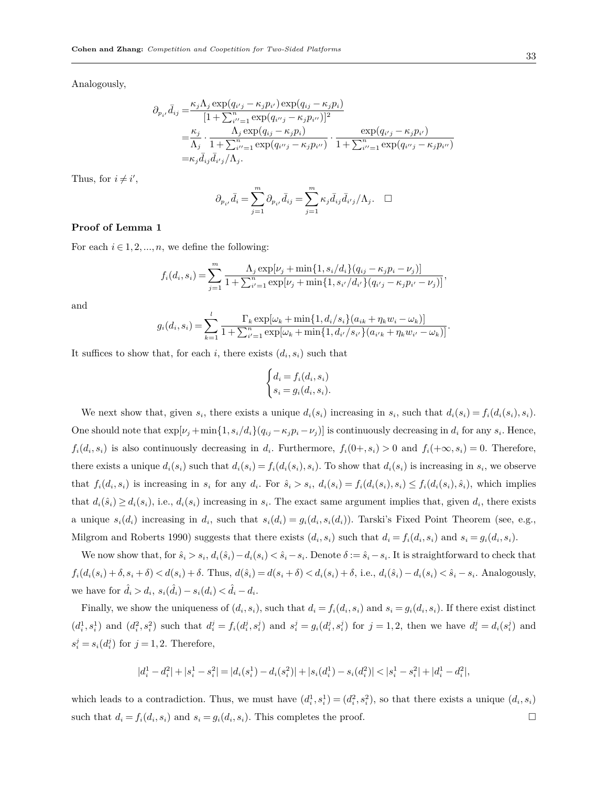Analogously,

$$
\partial_{p_{i'}} \bar{d}_{ij} = \frac{\kappa_j \Lambda_j \exp(q_{i'j} - \kappa_j p_{i'}) \exp(q_{ij} - \kappa_j p_i)}{[1 + \sum_{i''=1}^n \exp(q_{i''j} - \kappa_j p_{i''})]^2}
$$
  
\n
$$
= \frac{\kappa_j}{\Lambda_j} \cdot \frac{\Lambda_j \exp(q_{ij} - \kappa_j p_i)}{1 + \sum_{i''=1}^n \exp(q_{i''j} - \kappa_j p_{i''})} \cdot \frac{\exp(q_{i'j} - \kappa_j p_{i'})}{1 + \sum_{i''=1}^n \exp(q_{i''j} - \kappa_j p_{i''})}
$$
  
\n
$$
= \kappa_j \bar{d}_{ij} \bar{d}_{i'j} / \Lambda_j.
$$

Thus, for  $i \neq i'$ ,

$$
\partial_{p_{i'}}\bar{d}_i = \sum_{j=1}^m \partial_{p_{i'}}\bar{d}_{ij} = \sum_{j=1}^m \kappa_j \bar{d}_{ij} \bar{d}_{i'j}/\Lambda_j. \quad \Box
$$

#### **Proof of Lemma 1**

For each  $i \in 1, 2, ..., n$ , we define the following:

$$
f_i(d_i, s_i) = \sum_{j=1}^m \frac{\Lambda_j \exp[\nu_j + \min\{1, s_i/d_i\}(q_{ij} - \kappa_j p_i - \nu_j)]}{1 + \sum_{i'=1}^n \exp[\nu_j + \min\{1, s_{i'}/d_{i'}\}(q_{i'j} - \kappa_j p_{i'} - \nu_j)]},
$$

and

$$
g_i(d_i, s_i) = \sum_{k=1}^l \frac{\Gamma_k \exp[\omega_k + \min\{1, d_i/s_i\}(a_{ik} + \eta_k w_i - \omega_k)]}{1 + \sum_{i'=1}^n \exp[\omega_k + \min\{1, d_{i'}/s_{i'}\}(a_{i'k} + \eta_k w_{i'} - \omega_k)]}.
$$

It suffices to show that, for each *i*, there exists  $(d_i, s_i)$  such that

$$
\begin{cases} d_i = f_i(d_i, s_i) \\ s_i = g_i(d_i, s_i). \end{cases}
$$

We next show that, given  $s_i$ , there exists a unique  $d_i(s_i)$  increasing in  $s_i$ , such that  $d_i(s_i) = f_i(d_i(s_i), s_i)$ . One should note that  $\exp[\nu_j + \min\{1, s_i/d_i\}(q_{ij} - \kappa_j p_i - \nu_j)]$  is continuously decreasing in  $d_i$  for any  $s_i$ . Hence,  $f_i(d_i, s_i)$  is also continuously decreasing in  $d_i$ . Furthermore,  $f_i(0+, s_i) > 0$  and  $f_i(+\infty, s_i) = 0$ . Therefore, there exists a unique  $d_i(s_i)$  such that  $d_i(s_i) = f_i(d_i(s_i), s_i)$ . To show that  $d_i(s_i)$  is increasing in  $s_i$ , we observe that  $f_i(d_i, s_i)$  is increasing in  $s_i$  for any  $d_i$ . For  $\hat{s}_i > s_i$ ,  $d_i(s_i) = f_i(d_i(s_i), s_i) \leq f_i(d_i(s_i), \hat{s}_i)$ , which implies that  $d_i(\hat{s}_i) \geq d_i(s_i)$ , i.e.,  $d_i(s_i)$  increasing in  $s_i$ . The exact same argument implies that, given  $d_i$ , there exists a unique  $s_i(d_i)$  increasing in  $d_i$ , such that  $s_i(d_i) = g_i(d_i, s_i(d_i))$ . Tarski's Fixed Point Theorem (see, e.g., Milgrom and Roberts 1990) suggests that there exists  $(d_i, s_i)$  such that  $d_i = f_i(d_i, s_i)$  and  $s_i = g_i(d_i, s_i)$ .

We now show that, for  $\hat{s}_i > s_i$ ,  $d_i(\hat{s}_i) - d_i(s_i) < \hat{s}_i - s_i$ . Denote  $\delta := \hat{s}_i - s_i$ . It is straightforward to check that  $f_i(d_i(s_i) + \delta, s_i + \delta) < d(s_i) + \delta$ . Thus,  $d(\hat{s}_i) = d(s_i + \delta) < d_i(s_i) + \delta$ , i.e.,  $d_i(\hat{s}_i) - d_i(s_i) < \hat{s}_i - s_i$ . Analogously, we have for  $\hat{d}_i > d_i$ ,  $s_i(\hat{d}_i) - s_i(d_i) < \hat{d}_i - d_i$ .

Finally, we show the uniqueness of  $(d_i, s_i)$ , such that  $d_i = f_i(d_i, s_i)$  and  $s_i = g_i(d_i, s_i)$ . If there exist distinct  $(d_i^1, s_i^1)$  and  $(d_i^2, s_i^2)$  such that  $d_i^j = f_i(d_i^j, s_i^j)$  and  $s_i^j = g_i(d_i^j, s_i^j)$  for  $j = 1, 2$ , then we have  $d_i^j = d_i(s_i^j)$  and  $s_i^j = s_i(d_i^j)$  for  $j = 1, 2$ . Therefore,

$$
|d_i^1 - d_i^2| + |s_i^1 - s_i^2| = |d_i(s_i^1) - d_i(s_i^2)| + |s_i(d_i^1) - s_i(d_i^2)| < |s_i^1 - s_i^2| + |d_i^1 - d_i^2|,
$$

which leads to a contradiction. Thus, we must have  $(d_i^1, s_i^1) = (d_i^2, s_i^2)$ , so that there exists a unique  $(d_i, s_i)$ such that  $d_i = f_i(d_i, s_i)$  and  $s_i = g_i(d_i, s_i)$ . This completes the proof. □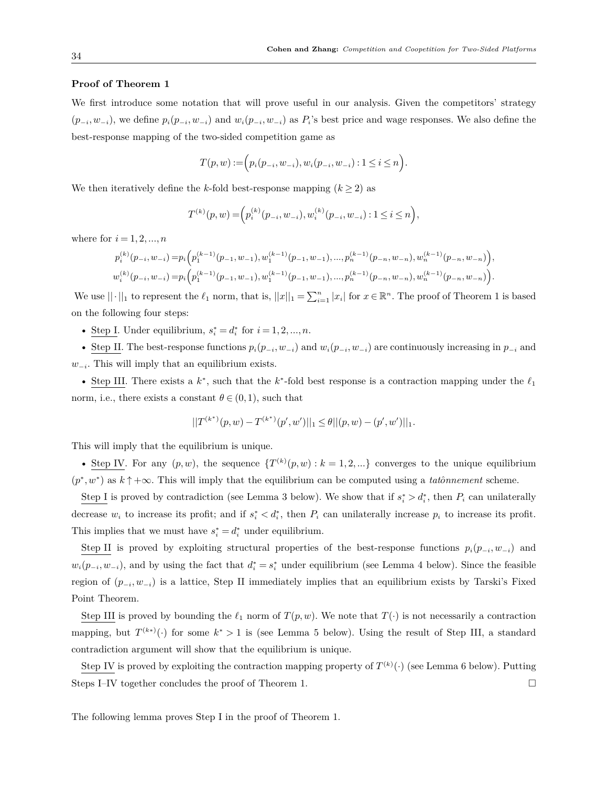## **Proof of Theorem 1**

We first introduce some notation that will prove useful in our analysis. Given the competitors' strategy  $(p_{-i},w_{-i}),$  we define  $p_i(p_{-i},w_{-i})$  and  $w_i(p_{-i},w_{-i})$  as  $P_i$ 's best price and wage responses. We also define the best-response mapping of the two-sided competition game as

$$
T(p,w):=\Big(p_i\big(p_{-i},w_{-i}\big),w_i\big(p_{-i},w_{-i}\big):1\leq i\leq n\Big).
$$

We then iteratively define the *k*-fold best-response mapping  $(k \geq 2)$  as

$$
T^{(k)}(p, w) = \left( p_i^{(k)}(p_{-i}, w_{-i}), w_i^{(k)}(p_{-i}, w_{-i}) : 1 \le i \le n \right),
$$

where for  $i = 1, 2, ..., n$ 

$$
\begin{split} &p_i^{(k)}(p_{-i},w_{-i}) = &p_i\Big(p_1^{(k-1)}(p_{-1},w_{-1}),w_1^{(k-1)}(p_{-1},w_{-1}),...,p_n^{(k-1)}(p_{-n},w_{-n}),w_n^{(k-1)}(p_{-n},w_{-n})\Big),\\ &w_i^{(k)}(p_{-i},w_{-i}) = &p_i\Big(p_1^{(k-1)}(p_{-1},w_{-1}),w_1^{(k-1)}(p_{-1},w_{-1}),...,p_n^{(k-1)}(p_{-n},w_{-n}),w_n^{(k-1)}(p_{-n},w_{-n})\Big). \end{split}
$$

We use  $|| \cdot ||_1$  to represent the  $\ell_1$  norm, that is,  $||x||_1 = \sum_{i=1}^n |x_i|$  for  $x \in \mathbb{R}^n$ . The proof of Theorem 1 is based on the following four steps:

• Step I. Under equilibrium,  $s_i^* = d_i^*$  for  $i = 1, 2, ..., n$ .

• Step II. The best-response functions  $p_i(p_{-i}, w_{-i})$  and  $w_i(p_{-i}, w_{-i})$  are continuously increasing in  $p_{-i}$  and *w*<sub>−*i*</sub>. This will imply that an equilibrium exists.

• Step III. There exists a  $k^*$ , such that the  $k^*$ -fold best response is a contraction mapping under the  $\ell_1$ norm, i.e., there exists a constant  $\theta \in (0,1)$ , such that

$$
||T^{(k^*)}(p, w) - T^{(k^*)}(p', w')||_1 \leq \theta ||(p, w) - (p', w')||_1.
$$

This will imply that the equilibrium is unique.

• Step IV. For any  $(p, w)$ , the sequence  $\{T^{(k)}(p, w) : k = 1, 2, ...\}$  converges to the unique equilibrium  $(p^*, w^*)$  as  $k \uparrow +\infty$ . This will imply that the equilibrium can be computed using a *tatônnement* scheme.

Step I is proved by contradiction (see Lemma 3 below). We show that if  $s_i^* > d_i^*$ , then  $P_i$  can unilaterally decrease  $w_i$  to increase its profit; and if  $s_i^* < d_i^*$ , then  $P_i$  can unilaterally increase  $p_i$  to increase its profit. This implies that we must have  $s_i^* = d_i^*$  under equilibrium.

Step II is proved by exploiting structural properties of the best-response functions  $p_i(p_{-i}, w_{-i})$  and  $w_i(p_{-i}, w_{-i})$ , and by using the fact that  $d_i^* = s_i^*$  under equilibrium (see Lemma 4 below). Since the feasible region of  $(p_{-i}, w_{-i})$  is a lattice, Step II immediately implies that an equilibrium exists by Tarski's Fixed Point Theorem.

Step III is proved by bounding the  $\ell_1$  norm of  $T(p, w)$ . We note that  $T(\cdot)$  is not necessarily a contraction mapping, but  $T^{(k*)}(\cdot)$  for some  $k^* > 1$  is (see Lemma 5 below). Using the result of Step III, a standard contradiction argument will show that the equilibrium is unique.

Step IV is proved by exploiting the contraction mapping property of  $T^{(k)}(\cdot)$  (see Lemma 6 below). Putting Steps I–IV together concludes the proof of Theorem 1.  $\Box$ 

The following lemma proves Step I in the proof of Theorem 1.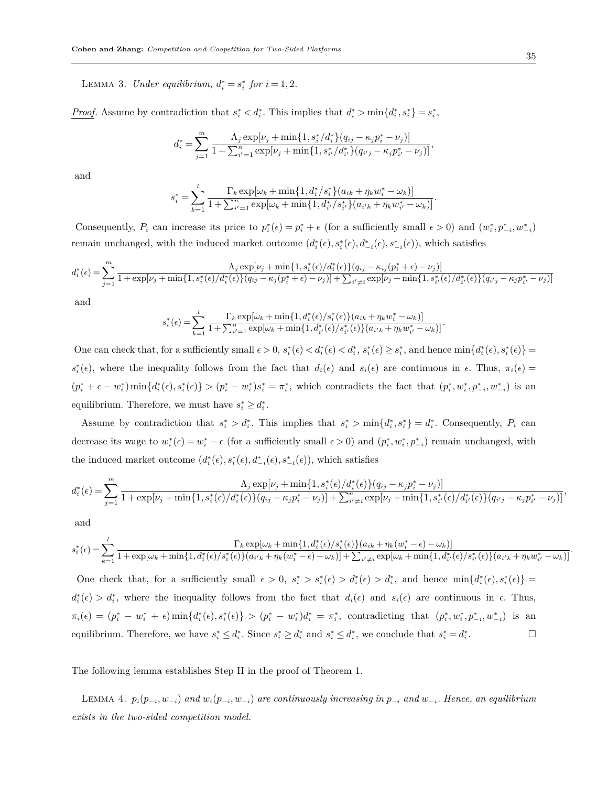LEMMA 3. *Under equilibrium,*  $d_i^* = s_i^*$  for  $i = 1, 2$ .

*Proof.* Assume by contradiction that  $s_i^* < d_i^*$ . This implies that  $d_i^* > \min\{d_i^*, s_i^*\} = s_i^*$ ,

$$
d_i^* = \sum_{j=1}^m \frac{\Lambda_j \exp[\nu_j + \min\{1, s_i^*/d_i^*\}(q_{ij} - \kappa_j p_i^* - \nu_j)]}{1 + \sum_{i'=1}^n \exp[\nu_j + \min\{1, s_{i'}^*/d_{i'}^*\}(q_{i'j} - \kappa_j p_{i'}^* - \nu_j)]},
$$

and

$$
s_i^* = \sum_{k=1}^l \frac{\Gamma_k \exp[\omega_k + \min\{1, d_i^* / s_i^*\} (a_{ik} + \eta_k w_i^* - \omega_k)]}{1 + \sum_{i'=1}^n \exp[\omega_k + \min\{1, d_{i'}^* / s_{i'}^*\} (a_{i'k} + \eta_k w_{i'}^* - \omega_k)]}.
$$

Consequently,  $P_i$  can increase its price to  $p_i^*(\epsilon) = p_i^* + \epsilon$  (for a sufficiently small  $\epsilon > 0$ ) and  $(w_i^*, p_{-i}^*, w_{-i}^*)$ remain unchanged, with the induced market outcome  $(d_i^*(\epsilon), s_i^*(\epsilon), d_{-i}^*(\epsilon), s_{-i}^*(\epsilon))$ , which satisfies

$$
d_i^*(\epsilon) = \sum_{j=1}^m \frac{\Lambda_j \exp[\nu_j + \min\{1, s_i^*(\epsilon)/d_i^*(\epsilon)\} (q_{ij} - \kappa_{ij}(p_i^* + \epsilon) - \nu_j)]}{1 + \exp[\nu_j + \min\{1, s_i^*(\epsilon)/d_i^*(\epsilon)\} (q_{ij} - \kappa_{ij}(p_i^* + \epsilon) - \nu_j)] + \sum_{i' \neq i} \exp[\nu_j + \min\{1, s_{i'}^*(\epsilon)/d_{i'}^*(\epsilon)\} (q_{i'j} - \kappa_{ij}p_{i'}^* - \nu_j)]}
$$

and

$$
s_i^*(\epsilon) = \sum_{k=1}^l \frac{\Gamma_k \exp[\omega_k + \min\{1, d_i^*(\epsilon)/s_i^*(\epsilon)\} (a_{ik} + \eta_k w_i^* - \omega_k)]}{1 + \sum_{i'=1}^n \exp[\omega_k + \min\{1, d_{i'}^*(\epsilon)/s_{i'}^*(\epsilon)\} (a_{i'k} + \eta_k w_{i'}^* - \omega_k)]}.
$$

One can check that, for a sufficiently small  $\epsilon > 0$ ,  $s_i^*(\epsilon) < d_i^*(\epsilon) < d_i^*, s_i^*(\epsilon) \geq s_i^*$ , and hence  $\min\{d_i^*(\epsilon), s_i^*(\epsilon)\}$  $s_i^*(\epsilon)$ , where the inequality follows from the fact that  $d_i(\epsilon)$  and  $s_i(\epsilon)$  are continuous in  $\epsilon$ . Thus,  $\pi_i(\epsilon)$  $(p_i^* + \epsilon - w_i^*) \min\{d_i^*(\epsilon), s_i^*(\epsilon)\} > (p_i^* - w_i^*)s_i^* = \pi_i^*$ , which contradicts the fact that  $(p_i^*, w_i^*, p_{-i}^*, w_{-i}^*)$  is an equilibrium. Therefore, we must have  $s_i^* \geq d_i^*$ .

Assume by contradiction that  $s_i^* > d_i^*$ . This implies that  $s_i^* > \min\{d_i^*, s_i^*\} = d_i^*$ . Consequently,  $P_i$  can decrease its wage to  $w_i^*(\epsilon) = w_i^* - \epsilon$  (for a sufficiently small  $\epsilon > 0$ ) and  $(p_i^*, w_i^*, p_{-i}^*)$  remain unchanged, with the induced market outcome  $(d_i^*(\epsilon), s_i^*(\epsilon), d_{-i}^*(\epsilon), s_{-i}^*(\epsilon))$ , which satisfies

$$
d_i^*(\epsilon) = \sum_{j=1}^m \frac{\Lambda_j \exp[\nu_j + \min\{1, s_i^*(\epsilon)/d_i^*(\epsilon)\} (q_{ij} - \kappa_j p_i^* - \nu_j)]}{1 + \exp[\nu_j + \min\{1, s_i^*(\epsilon)/d_i^*(\epsilon)\} (q_{ij} - \kappa_j p_i^* - \nu_j)] + \sum_{i' \neq i}^n \exp[\nu_j + \min\{1, s_{i'}^*(\epsilon)/d_{i'}^*(\epsilon)\} (q_{i'j} - \kappa_j p_{i'}^* - \nu_j)]},
$$

and

$$
s_i^*(\epsilon) = \sum_{k=1}^l \frac{\Gamma_k \exp[\omega_k + \min\{1, d_i^*(\epsilon)/s_i^*(\epsilon)\} (a_{ik} + \eta_k(w_i^* - \epsilon) - \omega_k)]}{1 + \exp[\omega_k + \min\{1, d_i^*(\epsilon)/s_i^*(\epsilon)\} (a_{i'k} + \eta_k(w_i^* - \epsilon) - \omega_k)] + \sum_{i' \neq i} \exp[\omega_k + \min\{1, d_{i'}^*(\epsilon)/s_{i'}^*(\epsilon)\} (a_{i'k} + \eta_k w_{i'}^* - \omega_k)]}.
$$

One check that, for a sufficiently small  $\epsilon > 0$ ,  $s_i^* > s_i^*(\epsilon) > d_i^*(\epsilon) > d_i^*$ , and hence  $\min\{d_i^*(\epsilon), s_i^*(\epsilon)\}$  $d_i^*(\epsilon) > d_i^*$ , where the inequality follows from the fact that  $d_i(\epsilon)$  and  $s_i(\epsilon)$  are continuous in  $\epsilon$ . Thus,  $\pi_i(\epsilon) = (p_i^* - w_i^* + \epsilon) \min\{d_i^*(\epsilon), s_i^*(\epsilon)\} > (p_i^* - w_i^*)d_i^* = \pi_i^*,$  contradicting that  $(p_i^*, w_i^*, p_{-i}^*, w_{-i}^*)$  is an equilibrium. Therefore, we have  $s_i^* \leq d_i^*$ . Since  $s_i^* \geq d_i^*$  and  $s_i^* \leq d_i^*$ , we conclude that  $s_i^* = d_i^*$  $\Box$ 

The following lemma establishes Step II in the proof of Theorem 1.

LEMMA 4.  $p_i(p_{-i}, w_{-i})$  and  $w_i(p_{-i}, w_{-i})$  are continuously increasing in  $p_{-i}$  and  $w_{-i}$ . Hence, an equilibrium *exists in the two-sided competition model.*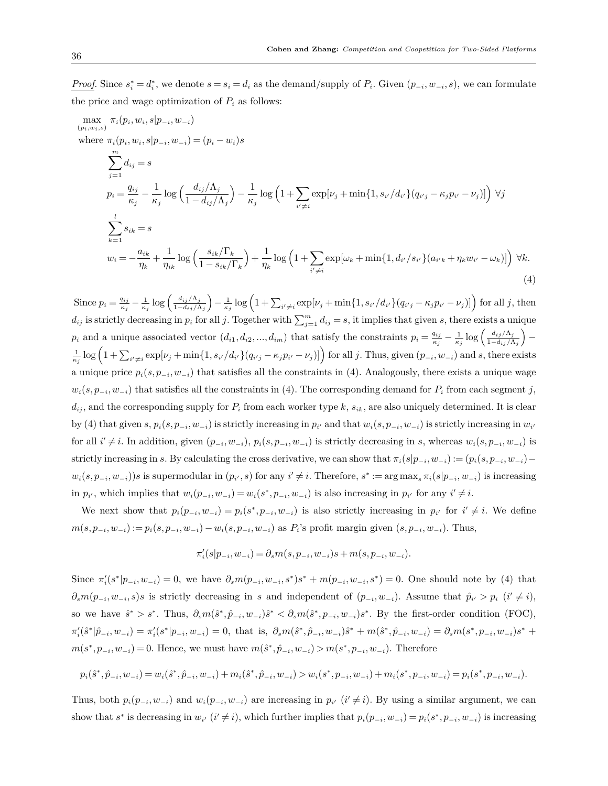*Proof.* Since  $s_i^* = d_i^*$ , we denote  $s = s_i = d_i$  as the demand/supply of  $P_i$ . Given  $(p_{-i}, w_{-i}, s)$ , we can formulate the price and wage optimization of  $P_i$  as follows:

$$
\max_{(p_i, w_i, s)} \pi_i(p_i, w_i, s | p_{-i}, w_{-i})
$$
\nwhere  $\pi_i(p_i, w_i, s | p_{-i}, w_{-i}) = (p_i - w_i)s$   
\n
$$
\sum_{j=1}^m d_{ij} = s
$$
\n
$$
p_i = \frac{q_{ij}}{\kappa_j} - \frac{1}{\kappa_j} \log \left( \frac{d_{ij}/\Lambda_j}{1 - d_{ij}/\Lambda_j} \right) - \frac{1}{\kappa_j} \log \left( 1 + \sum_{i' \neq i} \exp[\nu_j + \min\{1, s_{i'}/d_{i'}\}(q_{i'j} - \kappa_j p_{i'} - \nu_j)] \right) \forall j
$$
\n
$$
\sum_{k=1}^l s_{ik} = s
$$
\n
$$
w_i = -\frac{a_{ik}}{\eta_k} + \frac{1}{\eta_{ik}} \log \left( \frac{s_{ik}/\Gamma_k}{1 - s_{ik}/\Gamma_k} \right) + \frac{1}{\eta_k} \log \left( 1 + \sum_{i' \neq i} \exp[\omega_k + \min\{1, d_{i'}/s_{i'}\}(a_{i'k} + \eta_k w_{i'} - \omega_k)] \right) \forall k.
$$
\n(4)

Since  $p_i = \frac{q_{ij}}{\kappa}$  $\frac{q_{ij}}{\kappa_j} - \frac{1}{\kappa_j} \log \left( \frac{d_{ij}/\Lambda_j}{1 - d_{ij}/\Lambda_j} \right)$ 1*−dij/*Λ*<sup>j</sup>*  $\left(-\frac{1}{\kappa_j}\log\left(1+\sum_{i'\neq i}\exp[\nu_j+\min\{1,s_{i'}/d_{i'}\}(q_{i'j}-\kappa_jp_{i'}-\nu_j)]\right)\right)$  for all j, then  $d_{ij}$  is strictly decreasing in  $p_i$  for all *j*. Together with  $\sum_{j=1}^{m} d_{ij} = s$ , it implies that given *s*, there exists a unique  $p_i$  and a unique associated vector  $(d_{i1}, d_{i2}, ..., d_{im})$  that satisfy the constraints  $p_i = \frac{q_{ij}}{\kappa_i}$  $\frac{q_{ij}}{\kappa_j} - \frac{1}{\kappa_j} \log \left( \frac{d_{ij}/\Lambda_j}{1 - d_{ij}/\Lambda_j} \right)$ 1*−dij/*Λ*<sup>j</sup>* ) *−*  $\frac{1}{\kappa_j}\log\left(1+\sum_{i'\neq i}\exp[\nu_j+\min\{1,s_{i'}/d_{i'}\}(q_{i'j}-\kappa_jp_{i'}-\nu_j)]\right)$  for all j. Thus, given  $(p_{-i},w_{-i})$  and s, there exists a unique price *pi*(*s, p−<sup>i</sup> , w−<sup>i</sup>*) that satisfies all the constraints in (4). Analogously, there exists a unique wage  $w_i(s, p_{-i}, w_{-i})$  that satisfies all the constraints in (4). The corresponding demand for  $P_i$  from each segment *j*,  $d_{ij}$ , and the corresponding supply for  $P_i$  from each worker type  $k$ ,  $s_{ik}$ , are also uniquely determined. It is clear by (4) that given  $s, p_i(s, p_{-i}, w_{-i})$  is strictly increasing in  $p_{i'}$  and that  $w_i(s, p_{-i}, w_{-i})$  is strictly increasing in  $w_{i'}$ for all  $i' \neq i$ . In addition, given  $(p_{-i}, w_{-i}), p_i(s, p_{-i}, w_{-i})$  is strictly decreasing in s, whereas  $w_i(s, p_{-i}, w_{-i})$  is strictly increasing in s. By calculating the cross derivative, we can show that  $\pi_i(s|p_{-i},w_{-i}) := (p_i(s,p_{-i},w_{-i})$  $w_i(s, p_{-i}, w_{-i}))$ s is supermodular in  $(p_{i'}, s)$  for any  $i' \neq i$ . Therefore,  $s^* := \arg \max_s \pi_i(s|p_{-i}, w_{-i})$  is increasing in  $p_{i'}$ , which implies that  $w_i(p_{-i}, w_{-i}) = w_i(s^*, p_{-i}, w_{-i})$  is also increasing in  $p_{i'}$  for any  $i' \neq i$ .

We next show that  $p_i(p_{-i}, w_{-i}) = p_i(s^*, p_{-i}, w_{-i})$  is also strictly increasing in  $p_{i'}$  for  $i' \neq i$ . We define  $m(s, p_{-i}, w_{-i}) := p_i(s, p_{-i}, w_{-i}) - w_i(s, p_{-i}, w_{-i})$  as  $P_i$ 's profit margin given  $(s, p_{-i}, w_{-i})$ . Thus,

$$
\pi'_i(s|p_{-i},w_{-i}) = \partial_s m(s,p_{-i},w_{-i})s + m(s,p_{-i},w_{-i}).
$$

Since  $\pi'_i(s^*|p_{-i}, w_{-i}) = 0$ , we have  $\partial_s m(p_{-i}, w_{-i}, s^*)s^* + m(p_{-i}, w_{-i}, s^*) = 0$ . One should note by (4) that  $\partial_s m(p_{-i}, w_{-i}, s)$ s is strictly decreasing in s and independent of  $(p_{-i}, w_{-i})$ . Assume that  $\hat{p}_{i'} > p_i$   $(i' \neq i)$ , so we have  $\hat{s}^* > s^*$ . Thus,  $\partial_s m(\hat{s}^*, \hat{p}_{-i}, w_{-i})\hat{s}^* < \partial_s m(\hat{s}^*, p_{-i}, w_{-i})s^*$ . By the first-order condition (FOC),  $\pi'_i(\hat{s}^*|\hat{p}_{-i},w_{-i}) = \pi'_i(s^*|p_{-i},w_{-i}) = 0$ , that is,  $\partial_s m(\hat{s}^*,\hat{p}_{-i},w_{-i})\hat{s}^* + m(\hat{s}^*,\hat{p}_{-i},w_{-i}) = \partial_s m(s^*,p_{-i},w_{-i})s^* +$  $m(s^*, p_{-i}, w_{-i}) = 0$ . Hence, we must have  $m(\hat{s}^*, \hat{p}_{-i}, w_{-i}) > m(s^*, p_{-i}, w_{-i})$ . Therefore

$$
p_i(\hat{s}^*, \hat{p}_{-i}, w_{-i}) = w_i(\hat{s}^*, \hat{p}_{-i}, w_{-i}) + m_i(\hat{s}^*, \hat{p}_{-i}, w_{-i}) > w_i(s^*, p_{-i}, w_{-i}) + m_i(s^*, p_{-i}, w_{-i}) = p_i(s^*, p_{-i}, w_{-i}).
$$

Thus, both  $p_i(p_{-i}, w_{-i})$  and  $w_i(p_{-i}, w_{-i})$  are increasing in  $p_{i'}$   $(i' \neq i)$ . By using a similar argument, we can show that s<sup>\*</sup> is decreasing in  $w_{i'}$   $(i' \neq i)$ , which further implies that  $p_i(p_{-i}, w_{-i}) = p_i(s^*, p_{-i}, w_{-i})$  is increasing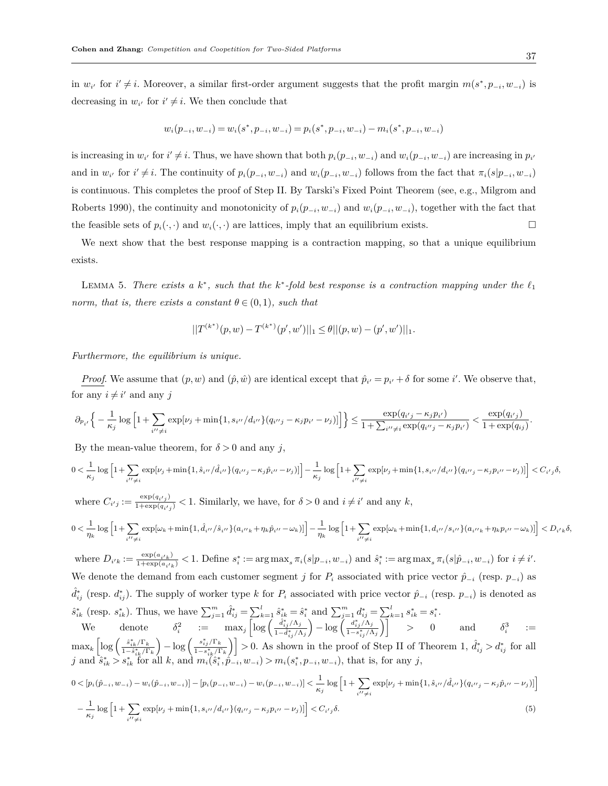in  $w_{i'}$  for  $i' \neq i$ . Moreover, a similar first-order argument suggests that the profit margin  $m(s^*, p_{-i}, w_{-i})$  is decreasing in  $w_{i'}$  for  $i' \neq i$ . We then conclude that

$$
w_i(p_{-i}, w_{-i}) = w_i(s^*, p_{-i}, w_{-i}) = p_i(s^*, p_{-i}, w_{-i}) - m_i(s^*, p_{-i}, w_{-i})
$$

is increasing in  $w_{i'}$  for  $i' \neq i$ . Thus, we have shown that both  $p_i(p_{-i}, w_{-i})$  and  $w_i(p_{-i}, w_{-i})$  are increasing in  $p_{i'}$ and in  $w_{i'}$  for  $i' \neq i$ . The continuity of  $p_i(p_{-i}, w_{-i})$  and  $w_i(p_{-i}, w_{-i})$  follows from the fact that  $\pi_i(s|p_{-i}, w_{-i})$ is continuous. This completes the proof of Step II. By Tarski's Fixed Point Theorem (see, e.g., Milgrom and Roberts 1990), the continuity and monotonicity of  $p_i(p_{-i}, w_{-i})$  and  $w_i(p_{-i}, w_{-i})$ , together with the fact that the feasible sets of  $p_i(\cdot, \cdot)$  and  $w_i(\cdot, \cdot)$  are lattices, imply that an equilibrium exists. □

We next show that the best response mapping is a contraction mapping, so that a unique equilibrium exists.

LEMMA 5. There exists a  $k^*$ , such that the  $k^*$ -fold best response is a contraction mapping under the  $\ell_1$ *norm, that is, there exists a constant*  $\theta \in (0,1)$ *, such that* 

$$
||T^{(k^*)}(p, w) - T^{(k^*)}(p', w')||_1 \leq \theta ||(p, w) - (p', w')||_1.
$$

*Furthermore, the equilibrium is unique.*

*Proof.* We assume that  $(p, w)$  and  $(\hat{p}, \hat{w})$  are identical except that  $\hat{p}_{i'} = p_{i'} + \delta$  for some *i*'. We observe that, for any  $i \neq i'$  and any *j* 

$$
\partial_{p_{i'}}\Big\{-\frac{1}{\kappa_j}\log\Big[1+\sum_{i''\neq i}\exp[\nu_j+\min\{1,s_{i''}/d_{i''}\}(q_{i''j}-\kappa_jp_{i'}-\nu_j)]\Big]\Big\}\leq \frac{\exp(q_{i'j}-\kappa_jp_{i'})}{1+\sum_{i''\neq i}\exp(q_{i''j}-\kappa_jp_{i'})}<\frac{\exp(q_{i'j})}{1+\exp(q_{i j})}
$$

By the mean-value theorem, for  $\delta > 0$  and any *j*,

$$
0 < \frac{1}{\kappa_j} \log \left[ 1 + \sum_{i'' \neq i} \exp[\nu_j + \min\{1, \hat{s}_{i''}/\hat{d}_{i''}\} (q_{i''j} - \kappa_j \hat{p}_{i''} - \nu_j)] \right] - \frac{1}{\kappa_j} \log \left[ 1 + \sum_{i'' \neq i} \exp[\nu_j + \min\{1, s_{i''}/d_{i''}\} (q_{i''j} - \kappa_j p_{i''} - \nu_j)] \right] < C_{i'j} \delta,
$$

where  $C_{i'j} := \frac{\exp(q_{i'j})}{1+\exp(q_{i'j})}$  $\frac{\exp(q_i t_j)}{1+\exp(q_i t_j)} < 1$ . Similarly, we have, for  $\delta > 0$  and  $i \neq i'$  and any *k*,

$$
0 < \frac{1}{\eta_k} \log \left[ 1 + \sum_{i'' \neq i} \exp[\omega_k + \min\{1, \hat{d}_{i''}/\hat{s}_{i''}\} (a_{i''k} + \eta_k \hat{p}_{i''} - \omega_k)] \right] - \frac{1}{\eta_k} \log \left[ 1 + \sum_{i'' \neq i} \exp[\omega_k + \min\{1, d_{i''}/s_{i''}\} (a_{i''k} + \eta_k p_{i''} - \omega_k)] \right] < D_{i'k} \delta,
$$

where  $D_{i'k} := \frac{\exp(a_{i'k})}{1 + \exp(a_{i'k})}$  $\frac{\exp(a_{i'k})}{1+\exp(a_{i'k})}$  < 1. Define  $s_i^* := \arg \max_s \pi_i(s|p_{-i}, w_{-i})$  and  $\hat{s}_i^* := \arg \max_s \pi_i(s|\hat{p}_{-i}, w_{-i})$  for  $i \neq i'$ . We denote the demand from each customer segment *j* for  $P_i$  associated with price vector  $\hat{p}_{-i}$  (resp.  $p_{-i}$ ) as  $\hat{d}_{ij}^*$  (resp.  $d_{ij}^*$ ). The supply of worker type *k* for  $P_i$  associated with price vector  $\hat{p}_{-i}$  (resp.  $p_{-i}$ ) is denoted as  $\hat{s}_{ik}^*$  (resp.  $s_{ik}^*$ ). Thus, we have  $\sum_{j=1}^m \hat{d}_{ij}^* = \sum_{k=1}^l \hat{s}_{ik}^* = \hat{s}_i^*$  and  $\sum_{j=1}^m d_{ij}^* = \sum_{k=1}^l s_{ik}^* = s_i^*$ . We denote  $\delta_i^2$  :=  $\max_j \left[ \log \left( \frac{\hat{d}_{i,j}^* / \Lambda_j}{1 - \hat{d}_{i,j}^* / \Lambda_j} \right) \right]$  $1−*d*<sup>*</sup><sub>*i*,*j*</sub> /Λ<sub>*j*</sub>$  $\left(-\log\left(\frac{a_{ij}^*/\Lambda_j}{1-s_{ij}^*/\Lambda_j}\right)\right]$  *>* 0 and  $\delta_i^3$ :=

 $\max_k \left[ \log \left( \frac{\hat{s}_{ik}^* / \Gamma_k}{1 - \hat{s}_{ik}^* / \Gamma_k} \right) \right]$  $\left( \frac{s_{ij}^*/\Gamma_k}{1-s_{ik}^*/\Gamma_k} \right)$  > 0. As shown in the proof of Step II of Theorem 1,  $\hat{d}_{ij}^* > d_{ij}^*$  for all j and  $\hat{s}_{ik}^* > s_{ik}^*$  for all k, and  $m_i(\hat{s}_i^*, \hat{p}_{-i}, w_{-i}) > m_i(s_i^*, p_{-i}, w_{-i})$ , that is, for any j,

$$
0 < [p_i(\hat{p}_{-i}, w_{-i}) - w_i(\hat{p}_{-i}, w_{-i})] - [p_i(p_{-i}, w_{-i}) - w_i(p_{-i}, w_{-i})] < \frac{1}{\kappa_j} \log \left[ 1 + \sum_{i' \neq i} \exp[\nu_j + \min\{1, \hat{s}_{i''}/\hat{d}_{i''}\}(q_{i''j} - \kappa_j \hat{p}_{i''} - \nu_j)] \right] \\ < -\frac{1}{\kappa_j} \log \left[ 1 + \sum_{i'' \neq i} \exp[\nu_j + \min\{1, s_{i''}/d_{i''}\}(q_{i''j} - \kappa_j p_{i''} - \nu_j)] \right] < C_{i'j} \delta. \tag{5}
$$

*.*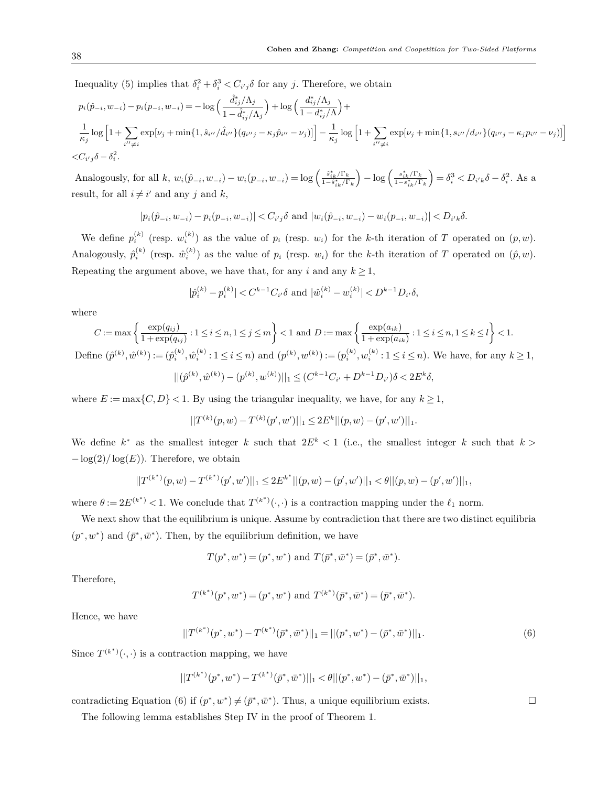Inequality (5) implies that  $\delta_i^2 + \delta_i^3 < C_{i'j}\delta$  for any *j*. Therefore, we obtain

$$
p_i(\hat{p}_{-i}, w_{-i}) - p_i(p_{-i}, w_{-i}) = -\log\left(\frac{\hat{d}_{ij}^*\wedge \Lambda_j}{1 - \hat{d}_{ij}^*\wedge \Lambda_j}\right) + \log\left(\frac{d_{ij}^*\wedge \Lambda_j}{1 - d_{ij}^*\wedge \Lambda_j}\right) + \frac{1}{\kappa_j}\log\left[1 + \sum_{i'' \neq i} \exp[\nu_j + \min\{1, \hat{s}_{i''}\wedge \hat{d}_{i''}\} (q_{i''j} - \kappa_j \hat{p}_{i''} - \nu_j)]\right] - \frac{1}{\kappa_j}\log\left[1 + \sum_{i'' \neq i} \exp[\nu_j + \min\{1, s_{i''}\wedge d_{i''}\} (q_{i''j} - \kappa_j p_{i''} - \nu_j)]\right]
$$
  

$$
<\!C_{i'j}\delta - \delta_i^2.
$$

Analogously, for all  $k, w_i(\hat{p}_{-i}, w_{-i}) - w_i(p_{-i}, w_{-i}) = \log \left( \frac{\hat{s}_{ik}^* / \Gamma_k}{1 - \hat{s}_{ik}^* / \Gamma_k} \right)$ ) *<sup>−</sup>* log ( *s ∗ ik/*Γ*<sup>k</sup>* 1*−s ∗ ik/*Γ*<sup>k</sup>*  $\int = \delta_i^3 < D_{i'k}\delta - \delta_i^2$ . As a result, for all  $i \neq i'$  and any *j* and *k*,

$$
|p_i(\hat{p}_{-i}, w_{-i}) - p_i(p_{-i}, w_{-i})| < C_{i'j}\delta \text{ and } |w_i(\hat{p}_{-i}, w_{-i}) - w_i(p_{-i}, w_{-i})| < D_{i'k}\delta.
$$

We define  $p_i^{(k)}$  (resp.  $w_i^{(k)}$ ) as the value of  $p_i$  (resp.  $w_i$ ) for the *k*-th iteration of *T* operated on  $(p, w)$ . Analogously,  $\hat{p}_i^{(k)}$  (resp.  $\hat{w}_i^{(k)}$ ) as the value of  $p_i$  (resp.  $w_i$ ) for the *k*-th iteration of *T* operated on  $(\hat{p}, w)$ . Repeating the argument above, we have that, for any *i* and any  $k \geq 1$ ,

$$
|\hat{p}_i^{(k)} - p_i^{(k)}| < C^{k-1} C_{i'} \delta \text{ and } |\hat{w}_i^{(k)} - w_i^{(k)}| < D^{k-1} D_{i'} \delta,
$$

where

$$
C := \max \left\{ \frac{\exp(q_{ij})}{1 + \exp(q_{ij})} : 1 \le i \le n, 1 \le j \le m \right\} < 1 \text{ and } D := \max \left\{ \frac{\exp(a_{ik})}{1 + \exp(a_{ik})} : 1 \le i \le n, 1 \le k \le l \right\} < 1.
$$
  
Define  $(\hat{p}^{(k)}, \hat{w}^{(k)}) := (\hat{p}_i^{(k)}, \hat{w}_i^{(k)} : 1 \le i \le n)$  and  $(p^{(k)}, w^{(k)}) := (p_i^{(k)}, w_i^{(k)} : 1 \le i \le n)$ . We have, for any  $k \ge 1$ ,  

$$
||(\hat{p}^{(k)}, \hat{w}^{(k)}) - (p^{(k)}, w^{(k)})||_1 \le (C^{k-1}C_{i'} + D^{k-1}D_{i'})\delta < 2E^k\delta,
$$

where  $E := \max\{C, D\} < 1$ . By using the triangular inequality, we have, for any  $k \ge 1$ ,

$$
||T^{(k)}(p,w)-T^{(k)}(p',w')||_1\leq 2E^k||(p,w)-(p',w')||_1.
$$

We define  $k^*$  as the smallest integer  $k$  such that  $2E^k < 1$  (i.e., the smallest integer  $k$  such that  $k >$ *−*log(2)*/* log(*E*)). Therefore, we obtain

$$
||T^{(k^*)}(p, w) - T^{(k^*)}(p', w')||_1 \le 2E^{k^*}||(p, w) - (p', w')||_1 < \theta ||(p, w) - (p', w')||_1,
$$

where  $\theta := 2E^{(k^*)} < 1$ . We conclude that  $T^{(k^*)}(\cdot, \cdot)$  is a contraction mapping under the  $\ell_1$  norm.

We next show that the equilibrium is unique. Assume by contradiction that there are two distinct equilibria  $(p^*, w^*)$  and  $(\bar{p}^*, \bar{w}^*)$ . Then, by the equilibrium definition, we have

$$
T(p^*, w^*) = (p^*, w^*)
$$
 and  $T(\bar{p}^*, \bar{w}^*) = (\bar{p}^*, \bar{w}^*).$ 

Therefore,

$$
T^{(k^*)}(p^*, w^*) = (p^*, w^*)
$$
 and  $T^{(k^*)}(\bar{p}^*, \bar{w}^*) = (\bar{p}^*, \bar{w}^*).$ 

Hence, we have

$$
||T^{(k^*)}(p^*, w^*) - T^{(k^*)}(\bar{p}^*, \bar{w}^*)||_1 = ||(p^*, w^*) - (\bar{p}^*, \bar{w}^*)||_1.
$$
\n(6)

Since  $T^{(k^*)}(\cdot,\cdot)$  is a contraction mapping, we have

$$
||T^{(k^*)}(p^*, w^*) - T^{(k^*)}(\bar{p}^*, \bar{w}^*)||_1 < \theta ||(p^*, w^*) - (\bar{p}^*, \bar{w}^*)||_1,
$$

contradicting Equation (6) if  $(p^*, w^*) \neq (\bar{p}^*, \bar{w}^*)$ . Thus, a unique equilibrium exists.  $\Box$ 

The following lemma establishes Step IV in the proof of Theorem 1.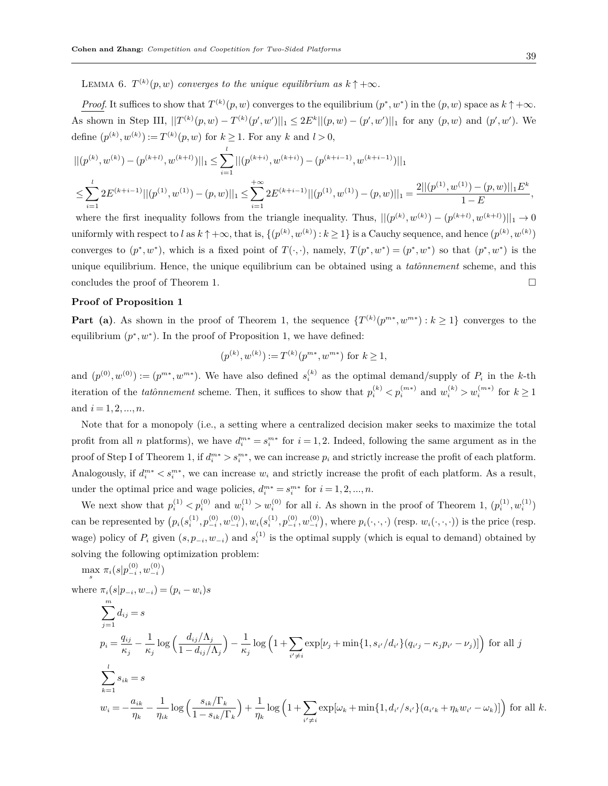*Proof.* It suffices to show that  $T^{(k)}(p, w)$  converges to the equilibrium  $(p^*, w^*)$  in the  $(p, w)$  space as  $k \uparrow +\infty$ . As shown in Step III,  $||T^{(k)}(p,w)-T^{(k)}(p',w')||_1 \leq 2E^k||(p,w)-(p',w')||_1$  for any  $(p,w)$  and  $(p',w')$ . We define  $(p^{(k)}, w^{(k)}) := T^{(k)}(p, w)$  for  $k \ge 1$ . For any  $k$  and  $l > 0$ ,

$$
|| (p^{(k)}, w^{(k)}) - (p^{(k+l)}, w^{(k+l)})||_1 \le \sum_{i=1}^l ||(p^{(k+i)}, w^{(k+i)}) - (p^{(k+i-1)}, w^{(k+i-1)})||_1
$$
  

$$
\le \sum_{i=1}^l 2E^{(k+i-1)} ||(p^{(1)}, w^{(1)}) - (p, w)||_1 \le \sum_{i=1}^{l} 2E^{(k+i-1)} ||(p^{(1)}, w^{(1)}) - (p, w)||_1 = \frac{2||(p^{(1)}, w^{(1)}) - (p, w)||_1 E^k}{1 - E},
$$

where the first inequality follows from the triangle inequality. Thus,  $||(p^{(k)}, w^{(k)}) - (p^{(k+l)}, w^{(k+l)})||_1 \to 0$ uniformly with respect to l as  $k \uparrow +\infty$ , that is,  $\{(p^{(k)}, w^{(k)}) : k \ge 1\}$  is a Cauchy sequence, and hence  $(p^{(k)}, w^{(k)})$ converges to  $(p^*, w^*)$ , which is a fixed point of  $T(\cdot, \cdot)$ , namely,  $T(p^*, w^*) = (p^*, w^*)$  so that  $(p^*, w^*)$  is the unique equilibrium. Hence, the unique equilibrium can be obtained using a *tato*ˆ*nnement* scheme, and this concludes the proof of Theorem 1.  $\Box$ 

## **Proof of Proposition 1**

**Part** (a). As shown in the proof of Theorem 1, the sequence  $\{T^{(k)}(p^{m*}, w^{m*}): k \geq 1\}$  converges to the equilibrium  $(p^*, w^*)$ . In the proof of Proposition 1, we have defined:

$$
(p^{(k)}, w^{(k)}) := T^{(k)}(p^{m*}, w^{m*})
$$
 for  $k \ge 1$ ,

and  $(p^{(0)}, w^{(0)}) := (p^{m*}, w^{m*})$ . We have also defined  $s_i^{(k)}$  as the optimal demand/supply of  $P_i$  in the *k*-th iteration of the *tatonnement* scheme. Then, it suffices to show that  $p_i^{(k)} < p_i^{(m*)}$  and  $w_i^{(k)} > w_i^{(m*)}$  for  $k \ge 1$ and  $i = 1, 2, ..., n$ .

Note that for a monopoly (i.e., a setting where a centralized decision maker seeks to maximize the total profit from all *n* platforms), we have  $d_i^{m*} = s_i^{m*}$  for  $i = 1, 2$ . Indeed, following the same argument as in the proof of Step I of Theorem 1, if  $d_i^{m*} > s_i^{m*}$ , we can increase  $p_i$  and strictly increase the profit of each platform. Analogously, if  $d_i^{m*} < s_i^{m*}$ , we can increase  $w_i$  and strictly increase the profit of each platform. As a result, under the optimal price and wage policies,  $d_i^{m*} = s_i^{m*}$  for  $i = 1, 2, ..., n$ .

We next show that  $p_i^{(1)} < p_i^{(0)}$  and  $w_i^{(1)} > w_i^{(0)}$  for all *i*. As shown in the proof of Theorem 1,  $(p_i^{(1)}, w_i^{(1)})$ can be represented by  $(p_i(s_i^{(1)}, p_{-i}^{(0)}, w_{-i}^{(0)}), w_i(s_i^{(1)}, p_{-i}^{(0)}, w_{-i}^{(0)}),$  where  $p_i(\cdot, \cdot, \cdot)$  (resp.  $w_i(\cdot, \cdot, \cdot)$ ) is the price (resp. wage) policy of  $P_i$  given  $(s, p_{-i}, w_{-i})$  and  $s_i^{(1)}$  is the optimal supply (which is equal to demand) obtained by solving the following optimization problem:

 $\max_{s} \pi_i(s|p^{(0)}_{-i}, w^{(0)}_{-i})$ 

 $\text{where } \pi_i(s|p_{-i}, w_{-i}) = (p_i - w_i)s$  $\sum_{i=1}^{m} d_{ij} = s$ *j*=1  $p_i = \frac{q_{ij}}{q}$  $\frac{q_{ij}}{\kappa_j}-\frac{1}{\kappa_j}$  $\frac{1}{\kappa_j}\log\left(\frac{d_{ij}/\Lambda_j}{1-d_{ij}/\Lambda_j}\right)$ ) *−* 1  $\frac{1}{\kappa_j} \log \left( 1 + \sum_{i \neq j} \right)$  $i' \neq i$  $\exp[\nu_j + \min\{1, s_{i'}/d_{i'}\}(q_{i'j} - \kappa_j p_{i'} - \nu_j)]\}\)$  for all j  $\sum_{i=1}^{l} s_{ik} = s$ *k*=1  $w_i = -\frac{a_{ik}}{l}$  $\frac{a_{ik}}{\eta_k} - \frac{1}{\eta_{ik}}$  $\frac{1}{\eta_{ik}}\log\left(\frac{s_{ik}/\Gamma_k}{1-s_{ik}/\Gamma_k}\right)$  $+1$  $\frac{1}{\eta_k} \log \left( 1 + \sum_{i \neq i}$  $i' \neq i$  $\exp[\omega_k + \min\{1, d_{i'}/s_{i'}\}(a_{i'k} + \eta_k w_{i'} - \omega_k)]\right)$  for all *k*.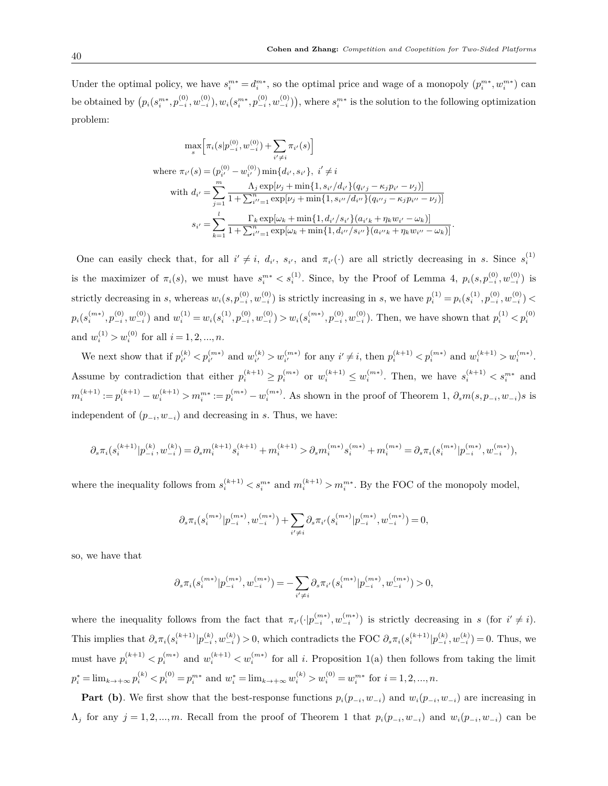Under the optimal policy, we have  $s_i^{m*} = d_i^{m*}$ , so the optimal price and wage of a monopoly  $(p_i^{m*}, w_i^{m*})$  can be obtained by  $(p_i(s_i^{m*}, p_{-i}^{(0)}, w_{-i}^{(0)}), w_i(s_i^{m*}, p_{-i}^{(0)}, w_{-i}^{(0)})),$  where  $s_i^{m*}$  is the solution to the following optimization problem:

$$
\max_{s} \left[ \pi_{i}(s|p_{-i}^{(0)}, w_{-i}^{(0)}) + \sum_{i' \neq i} \pi_{i'}(s) \right]
$$
\nwhere  $\pi_{i'}(s) = (p_{i'}^{(0)} - w_{i'}^{(0)}) \min\{d_{i'}, s_{i'}\}, i' \neq i$   
\nwith  $d_{i'} = \sum_{j=1}^{m} \frac{\Lambda_{j} \exp[\nu_{j} + \min\{1, s_{i'}/d_{i'}\}(q_{i'j} - \kappa_{j}p_{i'} - \nu_{j})]}{1 + \sum_{i''=1}^{n} \exp[\nu_{j} + \min\{1, s_{i''}/d_{i'}\}(q_{i''j} - \kappa_{j}p_{i''} - \nu_{j})]}\n\n $s_{i'} = \sum_{k=1}^{l} \frac{\Gamma_{k} \exp[\omega_{k} + \min\{1, d_{i'}/s_{i'}\}(a_{i'k} + \eta_{k}w_{i'} - \omega_{k})]}{1 + \sum_{i''=1}^{n} \exp[\omega_{k} + \min\{1, d_{i'}/s_{i'}\}(a_{i'k} + \eta_{k}w_{i''} - \omega_{k})]}\n.$$ 

One can easily check that, for all  $i' \neq i$ ,  $d_{i'}$ ,  $s_{i'}$ , and  $\pi_{i'}(\cdot)$  are all strictly decreasing in s. Since  $s_i^{(1)}$ is the maximizer of  $\pi_i(s)$ , we must have  $s_i^{m*} < s_i^{(1)}$ . Since, by the Proof of Lemma 4,  $p_i(s, p_{-i}^{(0)}, w_{-i}^{(0)})$  is strictly decreasing in s, whereas  $w_i(s, p_{-i}^{(0)}, w_{-i}^{(0)})$  is strictly increasing in s, we have  $p_i^{(1)} = p_i(s_i^{(1)}, p_{-i}^{(0)}, w_{-i}^{(0)})$  $p_i(s_i^{(m*)}, p_{-i}^{(0)}, w_{-i}^{(0)})$  and  $w_i^{(1)} = w_i(s_i^{(1)}, p_{-i}^{(0)}, w_{-i}^{(0)}) > w_i(s_i^{(m*)}, p_{-i}^{(0)}, w_{-i}^{(0)})$ . Then, we have shown that  $p_i^{(1)} < p_i^{(0)}$ and  $w_i^{(1)} > w_i^{(0)}$  for all  $i = 1, 2, ..., n$ .

We next show that if  $p_{i'}^{(k)} < p_{i'}^{(m*)}$  and  $w_{i'}^{(k)} > w_{i'}^{(m*)}$  for any  $i' \neq i$ , then  $p_i^{(k+1)} < p_i^{(m*)}$  and  $w_i^{(k+1)} > w_i^{(m*)}$ . Assume by contradiction that either  $p_i^{(k+1)} \geq p_i^{(m*)}$  or  $w_i^{(k+1)} \leq w_i^{(m*)}$ . Then, we have  $s_i^{(k+1)} < s_i^{m*}$  and  $m_i^{(k+1)} := p_i^{(k+1)} - w_i^{(k+1)} > m_i^{m*} := p_i^{(m*)} - w_i^{(m*)}$ . As shown in the proof of Theorem 1,  $\partial_s m(s, p_{-i}, w_{-i}) s$  is independent of  $(p_{-i}, w_{-i})$  and decreasing in *s*. Thus, we have:

$$
\partial_s\pi_i(s^{(k+1)}_i|p^{(k)}_{-i},w^{(k)}_{-i})=\partial_s m_i^{(k+1)}s^{(k+1)}_i+m_i^{(k+1)}>\partial_s m_i^{(m*)}s^{(m*)}_i+m_i^{(m*)}=\partial_s\pi_i(s^{(m*)}_i|p^{(m*)}_{-i},w^{(m*)}_{-i}),
$$

where the inequality follows from  $s_i^{(k+1)} < s_i^{m*}$  and  $m_i^{(k+1)} > m_i^{m*}$ . By the FOC of the monopoly model,

$$
\partial_s \pi_i(s_i^{(m*)}|p_{-i}^{(m*)},w_{-i}^{(m*)}) + \sum_{i' \neq i} \partial_s \pi_{i'}(s_i^{(m*)}|p_{-i}^{(m*)},w_{-i}^{(m*)}) = 0,
$$

so, we have that

$$
\partial_s \pi_i(s_i^{(m*)}|p_{-i}^{(m*)},w_{-i}^{(m*)}) = -\sum_{i'\neq i} \partial_s \pi_{i'}(s_i^{(m*)}|p_{-i}^{(m*)},w_{-i}^{(m*)}) > 0,
$$

where the inequality follows from the fact that  $\pi_{i'}(\cdot|p_{-i}^{(m*)},w_{-i}^{(m*)})$  is strictly decreasing in s (for  $i' \neq i$ ). This implies that  $\partial_s \pi_i(s_i^{(k+1)} | p_{-i}^{(k)}, w_{-i}^{(k)}) > 0$ , which contradicts the FOC  $\partial_s \pi_i(s_i^{(k+1)} | p_{-i}^{(k)}, w_{-i}^{(k)}) = 0$ . Thus, we must have  $p_i^{(k+1)} < p_i^{(m*)}$  and  $w_i^{(k+1)} < w_i^{(m*)}$  for all *i*. Proposition 1(a) then follows from taking the limit  $p_i^* = \lim_{k \to +\infty} p_i^{(k)} < p_i^{(0)} = p_i^{m*}$  and  $w_i^* = \lim_{k \to +\infty} w_i^{(k)} > w_i^{(0)} = w_i^{m*}$  for  $i = 1, 2, ..., n$ .

**Part** (b). We first show that the best-response functions  $p_i(p_{-i}, w_{-i})$  and  $w_i(p_{-i}, w_{-i})$  are increasing in  $\Lambda_j$  for any  $j = 1, 2, ..., m$ . Recall from the proof of Theorem 1 that  $p_i(p_{-i}, w_{-i})$  and  $w_i(p_{-i}, w_{-i})$  can be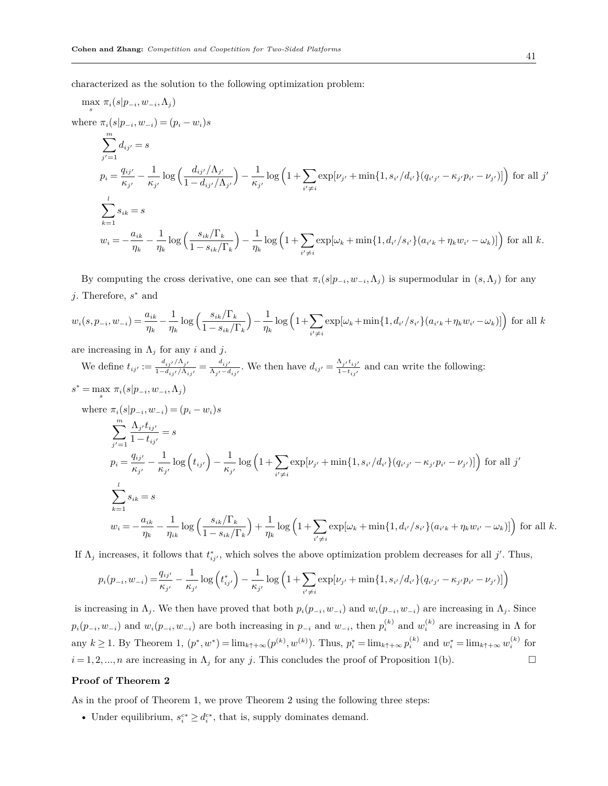characterized as the solution to the following optimization problem:

$$
\max_{s} \pi_{i}(s|p_{-i}, w_{-i}, \Lambda_{j})
$$
\nwhere  $\pi_{i}(s|p_{-i}, w_{-i}) = (p_{i} - w_{i})s$   
\n
$$
\sum_{j'=1}^{m} d_{ij'} = s
$$
\n
$$
p_{i} = \frac{q_{ij'}}{\kappa_{j'}} - \frac{1}{\kappa_{j'}} \log \left( \frac{d_{ij'}/\Lambda_{j'}}{1 - d_{ij'}/\Lambda_{j'}} \right) - \frac{1}{\kappa_{j'}} \log \left( 1 + \sum_{i' \neq i} \exp[\nu_{j'} + \min\{1, s_{i'}/d_{i'}\}(q_{i'j'} - \kappa_{j'}p_{i'} - \nu_{j'})] \right) \text{ for all } j'
$$
\n
$$
\sum_{k=1}^{l} s_{ik} = s
$$
\n
$$
w_{i} = -\frac{a_{ik}}{\eta_{k}} - \frac{1}{\eta_{k}} \log \left( \frac{s_{ik}/\Gamma_{k}}{1 - s_{ik}/\Gamma_{k}} \right) - \frac{1}{\eta_{k}} \log \left( 1 + \sum_{i' \neq i} \exp[\omega_{k} + \min\{1, d_{i'}/s_{i'}\}(a_{i'k} + \eta_{k}w_{i'} - \omega_{k})] \right) \text{ for all } k.
$$

By computing the cross derivative, one can see that  $\pi_i(s|p_{-i},w_{-i},\Lambda_j)$  is supermodular in  $(s,\Lambda_j)$  for any *j*. Therefore, *s <sup>∗</sup>* and

$$
w_i(s, p_{-i}, w_{-i}) = \frac{a_{ik}}{\eta_k} - \frac{1}{\eta_k} \log \left( \frac{s_{ik}/\Gamma_k}{1 - s_{ik}/\Gamma_k} \right) - \frac{1}{\eta_k} \log \left( 1 + \sum_{i' \neq i} \exp[\omega_k + \min\{1, d_{i'}/s_{i'}\}(a_{i'k} + \eta_k w_{i'} - \omega_k)] \right) \text{ for all } k
$$

are increasing in Λ*<sup>j</sup>* for any *i* and *j*.

We define  $t_{ij'} := \frac{d_{ij'} / \Lambda_{j'}}{1 - d_{ij'} / \Lambda_{ij'}} = \frac{d_{ij'}}{\Lambda_{j'} - d}$  $\frac{d_{ij'}}{\Lambda_{j'}-d_{ij'}}$ . We then have  $d_{ij'}=\frac{\Lambda_{j'}t_{ij'}}{1-t_{ij'}}$  and can write the following:

$$
s^* = \max_{s} \pi_i(s|p_{-i}, w_{-i}, \Lambda_j)
$$
  
\nwhere  $\pi_i(s|p_{-i}, w_{-i}) = (p_i - w_i)s$   
\n
$$
\sum_{j'=1}^{m} \frac{\Lambda_{j'} t_{ij'}}{1 - t_{ij'}} = s
$$
  
\n $p_i = \frac{q_{ij'}}{\kappa_{j'}} - \frac{1}{\kappa_{j'}} \log(t_{ij'}) - \frac{1}{\kappa_{j'}} \log(1 + \sum_{i' \neq i} \exp[\nu_{j'} + \min\{1, s_{i'}/d_{i'}\}(q_{i'j'} - \kappa_{j'}p_{i'} - \nu_{j'})]\})$  for all j'  
\n
$$
\sum_{k=1}^{l} s_{ik} = s
$$
  
\n $w_i = -\frac{a_{ik}}{\eta_k} - \frac{1}{\eta_{ik}} \log\left(\frac{s_{ik}/\Gamma_k}{1 - s_{ik}/\Gamma_k}\right) + \frac{1}{\eta_k} \log\left(1 + \sum_{i' \neq i} \exp[\omega_k + \min\{1, d_{i'}/s_{i'}\}(a_{i'k} + \eta_k w_{i'} - \omega_k)]\right)$  for all k.

If  $\Lambda_j$  increases, it follows that  $t_{ij}^*$ , which solves the above optimization problem decreases for all *j'*. Thus,

$$
p_i(p_{-i}, w_{-i}) = \frac{q_{ij'}}{\kappa_{j'}} - \frac{1}{\kappa_{j'}} \log(t_{ij'}^*) - \frac{1}{\kappa_{j'}} \log(1 + \sum_{i' \neq i} \exp[\nu_{j'} + \min\{1, s_{i'}/d_{i'}\}(q_{i'j'} - \kappa_{j'}p_{i'} - \nu_{j'})]\right)
$$

is increasing in  $\Lambda_j$ . We then have proved that both  $p_i(p_{-i}, w_{-i})$  and  $w_i(p_{-i}, w_{-i})$  are increasing in  $\Lambda_j$ . Since  $p_i(p_{-i}, w_{-i})$  and  $w_i(p_{-i}, w_{-i})$  are both increasing in  $p_{-i}$  and  $w_{-i}$ , then  $p_i^{(k)}$  and  $w_i^{(k)}$  are increasing in  $\Lambda$  for any  $k \geq 1$ . By Theorem 1,  $(p^*, w^*) = \lim_{k \uparrow +\infty} (p^{(k)}, w^{(k)})$ . Thus,  $p_i^* = \lim_{k \uparrow +\infty} p_i^{(k)}$  and  $w_i^* = \lim_{k \uparrow +\infty} w_i^{(k)}$  for  $i = 1, 2, \ldots, n$  are increasing in  $\Lambda_j$  for any *j*. This concludes the proof of Proposition 1(b). □

### **Proof of Theorem 2**

As in the proof of Theorem 1, we prove Theorem 2 using the following three steps:

• Under equilibrium,  $s_i^{c*} \geq d_i^{c*}$ , that is, supply dominates demand.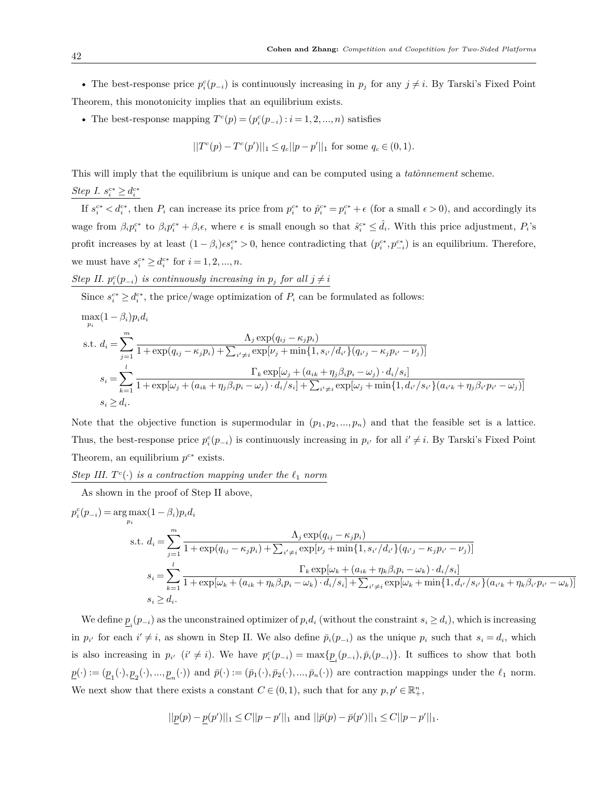• The best-response price  $p_i^c(p_{-i})$  is continuously increasing in  $p_j$  for any  $j \neq i$ . By Tarski's Fixed Point Theorem, this monotonicity implies that an equilibrium exists.

• The best-response mapping  $T^c(p) = (p_i^c(p_{-i}) : i = 1, 2, ..., n)$  satisfies

$$
||T^{c}(p) - T^{c}(p')||_1 \leq q_c ||p - p'||_1
$$
 for some  $q_c \in (0, 1)$ .

This will imply that the equilibrium is unique and can be computed using a *tato*ˆ*nnement* scheme. *Step I.*  $s_i^{c*} \geq d_i^{c*}$ 

If  $s_i^{c*} < d_i^{c*}$ , then  $P_i$  can increase its price from  $p_i^{c*}$  to  $\hat{p}_i^{c*} = p_i^{c*} + \epsilon$  (for a small  $\epsilon > 0$ ), and accordingly its wage from  $\beta_i p_i^{c*}$  to  $\beta_i p_i^{c*} + \beta_i \epsilon$ , where  $\epsilon$  is small enough so that  $\hat{s}_i^{c*} \leq \hat{d}_i$ . With this price adjustment,  $P_i$ 's profit increases by at least  $(1-\beta_i)\epsilon s_i^{c*} > 0$ , hence contradicting that  $(p_i^{c*}, p_{-i}^{c*})$  is an equilibrium. Therefore, we must have  $s_i^{c*} \ge d_i^{c*}$  for  $i = 1, 2, ..., n$ .

*Step II.*  $p_i^c(p_{-i})$  *is continuously increasing in*  $p_j$  *for all*  $j \neq i$ 

Since  $s_i^{c*} \geq d_i^{c*}$ , the price/wage optimization of  $P_i$  can be formulated as follows:

$$
\max_{p_i} (1 - \beta_i) p_i d_i
$$
\n
$$
\text{s.t. } d_i = \sum_{j=1}^m \frac{\Lambda_j \exp(q_{ij} - \kappa_j p_i)}{1 + \exp(q_{ij} - \kappa_j p_i) + \sum_{i' \neq i} \exp[\nu_j + \min\{1, s_{i'}/d_{i'}\}(q_{i'j} - \kappa_j p_{i'} - \nu_j)]}
$$
\n
$$
s_i = \sum_{k=1}^l \frac{\Gamma_k \exp[\omega_j + (a_{ik} + \eta_j \beta_i p_i - \omega_j) \cdot d_i/s_i]}{1 + \exp[\omega_j + (a_{ik} + \eta_j \beta_i p_i - \omega_j) \cdot d_i/s_i] + \sum_{i' \neq i} \exp[\omega_j + \min\{1, d_{i'}/s_{i'}\}(a_{i'k} + \eta_j \beta_{i'} p_{i'} - \omega_j)]}
$$
\n
$$
s_i \ge d_i.
$$

Note that the objective function is supermodular in  $(p_1, p_2, ..., p_n)$  and that the feasible set is a lattice. Thus, the best-response price  $p_i^c(p_{-i})$  is continuously increasing in  $p_{i'}$  for all  $i' \neq i$ . By Tarski's Fixed Point Theorem, an equilibrium  $p^{c*}$  exists.

*Step III.*  $T^c(\cdot)$  *is a contraction mapping under the*  $\ell_1$  *norm* 

As shown in the proof of Step II above,

$$
p_i^c(p_{-i}) = \arg \max (1 - \beta_i) p_i d_i
$$
  
s.t. 
$$
d_i = \sum_{j=1}^m \frac{\Lambda_j \exp(q_{ij} - \kappa_j p_i)}{1 + \exp(q_{ij} - \kappa_j p_i) + \sum_{i' \neq i} \exp[\nu_j + \min\{1, s_{i'} / d_{i'}\}(q_{i'j} - \kappa_j p_{i'} - \nu_j)]}
$$

$$
s_i = \sum_{k=1}^l \frac{\Gamma_k \exp[\omega_k + (a_{ik} + \eta_k \beta_i p_i - \omega_k) \cdot d_i/s_i]}{1 + \exp[\omega_k + (a_{ik} + \eta_k \beta_i p_i - \omega_k) \cdot d_i/s_i] + \sum_{i' \neq i} \exp[\omega_k + \min\{1, d_{i'}/s_{i'}\}(a_{i'k} + \eta_k \beta_{i'} p_{i'} - \omega_k)]}
$$

$$
s_i \ge d_i.
$$

We define  $\underline{p}_i(p_{-i})$  as the unconstrained optimizer of  $p_i d_i$  (without the constraint  $s_i \geq d_i$ ), which is increasing in  $p_{i'}$  for each  $i' \neq i$ , as shown in Step II. We also define  $\bar{p}_i(p_{-i})$  as the unique  $p_i$  such that  $s_i = d_i$ , which is also increasing in  $p_{i'}$   $(i' \neq i)$ . We have  $p_i^c(p_{-i}) = \max\{p_i(p_{-i}), \bar{p}_i(p_{-i})\}$ . It suffices to show that both  $\underline{p}(\cdot) := (\underline{p}_1(\cdot), \underline{p}_2(\cdot), ..., \underline{p}_n(\cdot))$  and  $\overline{p}(\cdot) := (\overline{p}_1(\cdot), \overline{p}_2(\cdot), ..., \overline{p}_n(\cdot))$  are contraction mappings under the  $\ell_1$  norm. We next show that there exists a constant  $C \in (0,1)$ , such that for any  $p, p' \in \mathbb{R}^n_+$ ,

$$
||\underline{p}(p) - \underline{p}(p')||_1 \le C||p - p'||_1 \text{ and } ||\overline{p}(p) - \overline{p}(p')||_1 \le C||p - p'||_1.
$$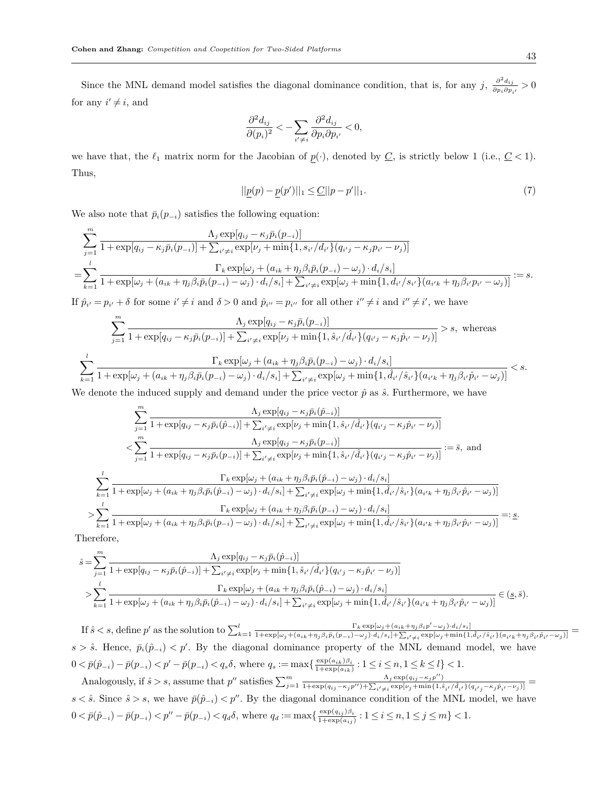Since the MNL demand model satisfies the diagonal dominance condition, that is, for any *j*,  $\frac{\partial^2 d_{ij}}{\partial n_i \partial n_j}$  $\frac{\partial}{\partial p_i \partial p_{i'}}$  > 0 for any  $i' \neq i$ , and

$$
\frac{\partial^2 d_{ij}}{\partial (p_i)^2} < -\sum_{i' \neq i} \frac{\partial^2 d_{ij}}{\partial p_i \partial p_{i'}} < 0,
$$

we have that, the  $\ell_1$  matrix norm for the Jacobian of  $p(\cdot)$ , denoted by  $C$ , is strictly below 1 (i.e.,  $C < 1$ ). Thus,

$$
||\underline{p}(p) - \underline{p}(p')||_1 \leq \underline{C}||p - p'||_1. \tag{7}
$$

We also note that  $\bar{p}_i(p_{-i})$  satisfies the following equation:

$$
\sum_{j=1}^{m} \frac{\Lambda_{j} \exp[q_{ij} - \kappa_{j} \bar{p}_{i}(p_{-i})]}{1 + \exp[q_{ij} - \kappa_{j} \bar{p}_{i}(p_{-i})] + \sum_{i' \neq i} \exp[\nu_{j} + \min\{1, s_{i'}/d_{i'}\}(q_{i'j} - \kappa_{j} p_{i'} - \nu_{j})]}
$$
\n
$$
= \sum_{k=1}^{l} \frac{\Gamma_{k} \exp[\omega_{j} + (a_{ik} + \eta_{j} \beta_{i} \bar{p}_{i}(p_{-i}) - \omega_{j}) \cdot d_{i}/s_{i}]}{1 + \exp[\omega_{j} + (a_{ik} + \eta_{j} \beta_{i} \bar{p}_{i}(p_{-i}) - \omega_{j}) \cdot d_{i}/s_{i}] + \sum_{i' \neq i} \exp[\omega_{j} + \min\{1, d_{i'}/s_{i'}\}(a_{i'k} + \eta_{j} \beta_{i'} p_{i'} - \omega_{j})]} := s.
$$

If  $\hat{p}_{i'} = p_{i'} + \delta$  for some  $i' \neq i$  and  $\delta > 0$  and  $\hat{p}_{i''} = p_{i''}$  for all other  $i'' \neq i$  and  $i'' \neq i'$ , we have

$$
\sum_{j=1}^{m} \frac{\Lambda_j \exp[q_{ij} - \kappa_j \bar{p}_i(p_{-i})]}{1 + \exp[q_{ij} - \kappa_j \bar{p}_i(p_{-i})] + \sum_{i' \neq i} \exp[\nu_j + \min\{1, \hat{s}_{i'}/\hat{d}_{i'}\}(q_{i'j} - \kappa_j \hat{p}_{i'} - \nu_j)]} > s, \text{ whereas}
$$
  

$$
\sum_{k=1}^{l} \frac{\Gamma_k \exp[\omega_j + (a_{ik} + \eta_j \beta_i \bar{p}_i(p_{-i}) - \omega_j) \cdot d_i/s_i]}{1 + \exp[\omega_j + (a_{ik} + \eta_j \beta_i \bar{p}_i(p_{-i}) - \omega_j) \cdot d_i/s_i] + \sum_{i' \neq i} \exp[\omega_j + \min\{1, \hat{d}_{i'}/\hat{s}_{i'}\}(a_{i'k} + \eta_j \beta_{i'} \hat{p}_{i'} - \omega_j)\} } < s.
$$

We denote the induced supply and demand under the price vector  $\hat{p}$  as  $\hat{s}$ . Furthermore, we have

$$
\sum_{j=1}^{m} \frac{\Lambda_j \exp[q_{ij} - \kappa_j \bar{p}_i(\hat{p}_{-i})]}{1 + \exp[q_{ij} - \kappa_j \bar{p}_i(\hat{p}_{-i})] + \sum_{i' \neq i} \exp[\nu_j + \min\{1, \hat{s}_{i'} / \hat{d}_{i'}\}(q_{i'j} - \kappa_j \hat{p}_{i'} - \nu_j)]}
$$
\n
$$
< \sum_{j=1}^{m} \frac{\Lambda_j \exp[q_{ij} - \kappa_j \bar{p}_i(p_{-i})]}{1 + \exp[q_{ij} - \kappa_j \bar{p}_i(p_{-i})] + \sum_{i' \neq i} \exp[\nu_j + \min\{1, \hat{s}_{i'} / \hat{d}_{i'}\}(q_{i'j} - \kappa_j \hat{p}_{i'} - \nu_j)]} := \bar{s}, \text{ and}
$$
\n
$$
\sum_{k=1}^{l} \frac{\Gamma_k \exp[\omega_j + (a_{ik} + \eta_j \beta_i \bar{p}_i(\hat{p}_{-i}) - \omega_j) \cdot d_i / s_i]}{1 + \exp[\omega_j + (a_{ik} + \eta_j \beta_i \bar{p}_i(\hat{p}_{-i}) - \omega_j) \cdot d_i / s_i] + \sum_{i' \neq i} \exp[\omega_j + \min\{1, \hat{d}_{i'} / \hat{s}_{i'}\}(a_{i'k} + \eta_j \beta_{i'} \hat{p}_{i'} - \omega_j)]}
$$
\n
$$
> \sum_{k=1}^{l} \frac{\Gamma_k \exp[\omega_j + (a_{ik} + \eta_j \beta_i \bar{p}_i(p_{-i}) - \omega_j) \cdot d_i / s_i]}{1 + \exp[\omega_j + (a_{ik} + \eta_j \beta_i \bar{p}_i(p_{-i}) - \omega_j) \cdot d_i / s_i] + \sum_{i' \neq i} \exp[\omega_j + \min\{1, \hat{d}_{i'} / \hat{s}_{i'}\}(a_{i'k} + \eta_j \beta_{i'} \hat{p}_{i'} - \omega_j)]} =: \underline{s}.
$$

Therefore,

$$
\hat{s} = \sum_{j=1}^{m} \frac{\Lambda_j \exp[q_{ij} - \kappa_j \bar{p}_i(\hat{p}_{-i})]}{1 + \exp[q_{ij} - \kappa_j \bar{p}_i(\hat{p}_{-i})] + \sum_{i' \neq i} \exp[\nu_j + \min\{1, \hat{s}_{i'} / \hat{d}_{i'}\}(q_{i'j} - \kappa_j \hat{p}_{i'} - \nu_j)]}
$$
\n
$$
> \sum_{k=1}^{l} \frac{\Gamma_k \exp[\omega_j + (a_{ik} + \eta_j \beta_i \bar{p}_i(\hat{p}_{-i}) - \omega_j) \cdot d_i/s_i]}{1 + \exp[\omega_j + (a_{ik} + \eta_j \beta_i \bar{p}_i(\hat{p}_{-i}) - \omega_j) \cdot d_i/s_i] + \sum_{i' \neq i} \exp[\omega_j + \min\{1, \hat{d}_{i'} / \hat{s}_{i'}\}(a_{i'k} + \eta_j \beta_{i'} \hat{p}_{i'} - \omega_j)]} \in (\underline{s}, \bar{s}).
$$

If  $\hat{s} < s$ , define p' as the solution to  $\sum_{k=1}^{l} \frac{\Gamma_k \exp[\omega_j + (a_{ik} + \eta_j \beta_i p' - \omega_j) \cdot d_i/s_i]}{1 + \exp[\omega_j + (a_{ik} + \eta_j \beta_i \bar{p}_i(p_{-i}) - \omega_j) \cdot d_i/s_i] + \sum_{i,l \neq i} \exp[\omega_j + \min\{1, \eta_j \cdot p'_{-i,l} + \eta_j \cdot p'_{-i,l} + \eta_j \cdot p'_{-i,l} + \eta_j \cdot p'_{-i,l} + \eta_j \cdot p'_{-i,l}$  $\frac{1_{k} \exp[\omega_{j} + (a_{ik} + \eta_{j}\beta_{i}\bar{p}_{i}(p_{-i}) - \omega_{j}) \cdot d_{i}/s_{i}] + \sum_{i' \neq i} \exp[\omega_{j} + \min\{1, \hat{d}_{i'}/\hat{s}_{i'}\} (a_{i'k} + \eta_{j}\beta_{i'}\hat{p}_{i'} - \omega_{j})]}{1 + \exp[\omega_{j} + (a_{ik} + \eta_{j}\beta_{i}\bar{p}_{i}(p_{-i}) - \omega_{j}) \cdot d_{i}/s_{i}] + \sum_{i' \neq i} \exp[\omega_{j} + \min\{1, \hat{d}_{i'}/\hat{s}_{i$  $s > \hat{s}$ . Hence,  $\bar{p}_i(\hat{p}_{-i}) < p'$ . By the diagonal dominance property of the MNL demand model, we have  $0 < \bar{p}(\hat{p}_{-i}) - \bar{p}(p_{-i}) < p' - \bar{p}(p_{-i}) < q_s \delta$ , where  $q_s := \max\{\frac{\exp(a_{ik})\beta_i}{1 + \exp(a_{ik})}\}$  $\frac{\exp(a_{ik})\beta_i}{1+\exp(a_{ik})}$ :  $1 \leq i \leq n, 1 \leq k \leq l$ } < 1.

Analogously, if  $\hat{s} > s$ , assume that  $p''$  satisfies  $\sum_{j=1}^{m} \frac{\Lambda_j \exp(q_{ij} - \kappa_j p'')}{1 + \exp(q_{ij} - \kappa_j p'') + \sum_{i \neq j} \exp[\nu_j + \min\{1, \hat{s}\}}$  $\frac{\Lambda_j \exp(q_{ij} - \kappa_j p^{\prime})}{1 + \exp(q_{ij} - \kappa_j p^{\prime\prime}) + \sum_{i' \neq i} \exp[\nu_j + \min\{1, \hat{s}_{i'}/\hat{d}_{i'}\}(q_{i'j} - \kappa_j \hat{p}_{i'} - \nu_j)]} =$  $s < \hat{s}$ . Since  $\hat{s} > s$ , we have  $\bar{p}(\hat{p}_{-i}) < p''$ . By the diagonal dominance condition of the MNL model, we have  $0 < \bar{p}(\hat{p}_{-i}) - \bar{p}(p_{-i}) < p'' - \bar{p}(p_{-i}) < q_d \delta$ , where  $q_d := \max\{\frac{\exp(q_{ij})\beta_i}{1 + \exp(q_{ij})}$  $\frac{\exp(q_{ij})\beta_i}{1+\exp(a_{ij})}: 1 \leq i \leq n, 1 \leq j \leq m \} < 1.$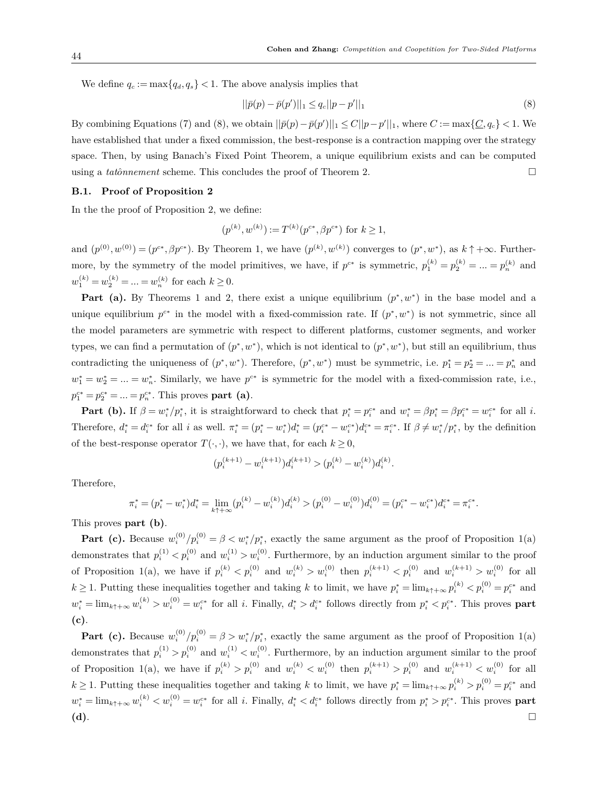We define  $q_c := \max\{q_d, q_s\} < 1$ . The above analysis implies that

$$
||\bar{p}(p) - \bar{p}(p')||_1 \le q_c ||p - p'||_1 \tag{8}
$$

By combining Equations (7) and (8), we obtain  $||\bar{p}(p) - \bar{p}(p')||_1 \le C||p - p'||_1$ , where  $C := \max\{C, q_c\} < 1$ . We have established that under a fixed commission, the best-response is a contraction mapping over the strategy space. Then, by using Banach's Fixed Point Theorem, a unique equilibrium exists and can be computed using a *tatônnement* scheme. This concludes the proof of Theorem 2.  $\Box$ 

## **B.1. Proof of Proposition 2**

In the the proof of Proposition 2, we define:

$$
(p^{(k)}, w^{(k)}) := T^{(k)}(p^{c*}, \beta p^{c*})
$$
 for  $k \ge 1$ ,

and  $(p^{(0)}, w^{(0)}) = (p^{c*}, \beta p^{c*})$ . By Theorem 1, we have  $(p^{(k)}, w^{(k)})$  converges to  $(p^*, w^*)$ , as  $k \uparrow +\infty$ . Furthermore, by the symmetry of the model primitives, we have, if  $p^{c*}$  is symmetric,  $p_1^{(k)} = p_2^{(k)} = ... = p_n^{(k)}$  and  $w_1^{(k)} = w_2^{(k)} = \dots = w_n^{(k)}$  for each  $k \ge 0$ .

**Part (a).** By Theorems 1 and 2, there exist a unique equilibrium  $(p^*, w^*)$  in the base model and a unique equilibrium  $p^{c*}$  in the model with a fixed-commission rate. If  $(p^*, w^*)$  is not symmetric, since all the model parameters are symmetric with respect to different platforms, customer segments, and worker types, we can find a permutation of  $(p^*, w^*)$ , which is not identical to  $(p^*, w^*)$ , but still an equilibrium, thus contradicting the uniqueness of  $(p^*, w^*)$ . Therefore,  $(p^*, w^*)$  must be symmetric, i.e.  $p_1^* = p_2^* = ... = p_n^*$  and  $w_1^* = w_2^* = ... = w_n^*$ . Similarly, we have  $p^{c*}$  is symmetric for the model with a fixed-commission rate, i.e.,  $p_1^{c*} = p_2^{c*} = ... = p_n^{c*}$ . This proves **part (a)**.

**Part (b).** If  $\beta = w_i^*/p_i^*$ , it is straightforward to check that  $p_i^* = p_i^{c*}$  and  $w_i^* = \beta p_i^* = \beta p_i^{c*} = w_i^{c*}$  for all i. Therefore,  $d_i^* = d_i^{c*}$  for all i as well.  $\pi_i^* = (p_i^* - w_i^*)d_i^* = (p_i^{c*} - w_i^{c*})d_i^{c*} = \pi_i^{c*}$ . If  $\beta \neq w_i^*/p_i^*$ , by the definition of the best-response operator  $T(\cdot, \cdot)$ , we have that, for each  $k \geq 0$ ,

$$
\big(p_i^{(k+1)}-w_i^{(k+1)}\big)d_i^{(k+1)} > \big(p_i^{(k)}-w_i^{(k)}\big)d_i^{(k)}.
$$

Therefore,

$$
\pi_i^* = (p_i^* - w_i^*)d_i^* = \lim_{k \uparrow + \infty} (p_i^{(k)} - w_i^{(k)})d_i^{(k)} > (p_i^{(0)} - w_i^{(0)})d_i^{(0)} = (p_i^{c*} - w_i^{c*})d_i^{c*} = \pi_i^{c*}.
$$

This proves **part (b)**.

**Part (c).** Because  $w_i^{(0)}/p_i^{(0)} = \beta \langle w_i^*/p_i^*$ , exactly the same argument as the proof of Proposition 1(a) demonstrates that  $p_i^{(1)} < p_i^{(0)}$  and  $w_i^{(1)} > w_i^{(0)}$ . Furthermore, by an induction argument similar to the proof of Proposition 1(a), we have if  $p_i^{(k)} < p_i^{(0)}$  and  $w_i^{(k)} > w_i^{(0)}$  then  $p_i^{(k+1)} < p_i^{(0)}$  and  $w_i^{(k+1)} > w_i^{(0)}$  for all  $k \geq 1$ . Putting these inequalities together and taking k to limit, we have  $p_i^* = \lim_{k \uparrow +\infty} p_i^{(k)} < p_i^{(0)} = p_i^{c*}$  and  $w_i^* = \lim_{k \uparrow +\infty} w_i^{(k)} > w_i^{(0)} = w_i^{c*}$  for all i. Finally,  $d_i^* > d_i^{c*}$  follows directly from  $p_i^* < p_i^{c*}$ . This proves **part (c)**.

**Part (c).** Because  $w_i^{(0)}/p_i^{(0)} = \beta > w_i^*/p_i^*$ , exactly the same argument as the proof of Proposition 1(a) demonstrates that  $p_i^{(1)} > p_i^{(0)}$  and  $w_i^{(1)} < w_i^{(0)}$ . Furthermore, by an induction argument similar to the proof of Proposition 1(a), we have if  $p_i^{(k)} > p_i^{(0)}$  and  $w_i^{(k)} < w_i^{(0)}$  then  $p_i^{(k+1)} > p_i^{(0)}$  and  $w_i^{(k+1)} < w_i^{(0)}$  for all  $k \geq 1$ . Putting these inequalities together and taking k to limit, we have  $p_i^* = \lim_{k \uparrow + \infty} p_i^{(k)} > p_i^{(0)} = p_i^{c*}$  and  $w_i^* = \lim_{k \uparrow +\infty} w_i^{(k)} < w_i^{(0)} = w_i^{c*}$  for all i. Finally,  $d_i^* < d_i^{c*}$  follows directly from  $p_i^* > p_i^{c*}$ . This proves **part (d)**. □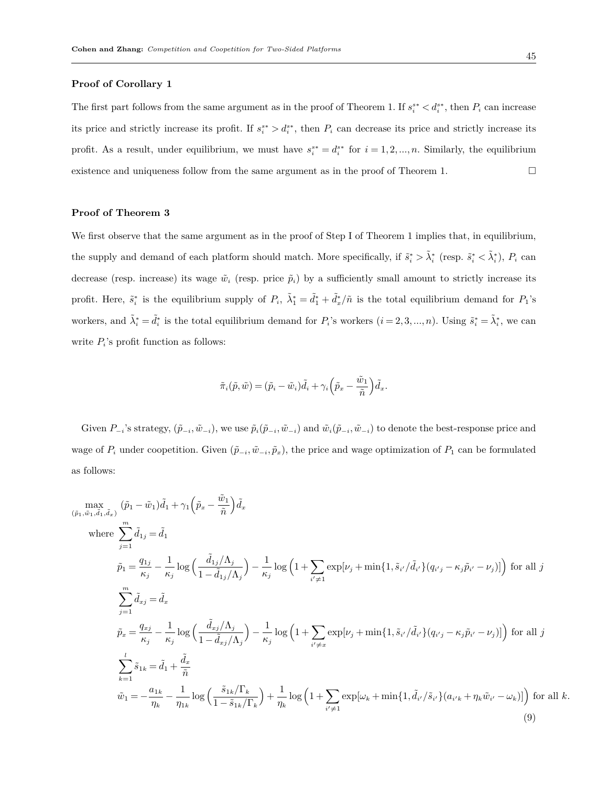## **Proof of Corollary 1**

The first part follows from the same argument as in the proof of Theorem 1. If  $s_i^{s*} < d_i^{s*}$ , then  $P_i$  can increase its price and strictly increase its profit. If  $s_i^{**} > d_i^{**}$ , then  $P_i$  can decrease its price and strictly increase its profit. As a result, under equilibrium, we must have  $s_i^{s*} = d_i^{s*}$  for  $i = 1, 2, ..., n$ . Similarly, the equilibrium existence and uniqueness follow from the same argument as in the proof of Theorem 1.  $\Box$ 

# **Proof of Theorem 3**

We first observe that the same argument as in the proof of Step I of Theorem 1 implies that, in equilibrium, the supply and demand of each platform should match. More specifically, if  $\tilde{s}_i^* > \tilde{\lambda}_i^*$  (resp.  $\tilde{s}_i^* < \tilde{\lambda}_i^*$ ),  $P_i$  can decrease (resp. increase) its wage  $\tilde{w}_i$  (resp. price  $\tilde{p}_i$ ) by a sufficiently small amount to strictly increase its profit. Here,  $\tilde{s}_i^*$  is the equilibrium supply of  $P_i$ ,  $\tilde{\lambda}_1^* = \tilde{d}_1^* + \tilde{d}_x^*/\tilde{n}$  is the total equilibrium demand for  $P_1$ 's workers, and  $\tilde{\lambda}_i^* = \tilde{d}_i^*$  is the total equilibrium demand for  $P_i$ 's workers  $(i = 2, 3, ..., n)$ . Using  $\tilde{s}_i^* = \tilde{\lambda}_i^*$ , we can write  $P_i$ 's profit function as follows:

$$
\tilde{\pi}_i(\tilde{p}, \tilde{w}) = (\tilde{p}_i - \tilde{w}_i)\tilde{d}_i + \gamma_i \left(\tilde{p}_x - \frac{\tilde{w}_1}{\tilde{n}}\right)\tilde{d}_x.
$$

Given  $P_{-i}$ 's strategy,  $(\tilde{p}_{-i}, \tilde{w}_{-i})$ , we use  $\tilde{p}_i(\tilde{p}_{-i}, \tilde{w}_{-i})$  and  $\tilde{w}_i(\tilde{p}_{-i}, \tilde{w}_{-i})$  to denote the best-response price and wage of  $P_i$  under coopetition. Given  $(\tilde{p}_{-i}, \tilde{w}_{-i}, \tilde{p}_x)$ , the price and wage optimization of  $P_1$  can be formulated as follows:

$$
\begin{split}\n&\max_{(\tilde{p}_{1},\tilde{w}_{1},\tilde{d}_{1},\tilde{d}_{x})} (\tilde{p}_{1}-\tilde{w}_{1})\tilde{d}_{1} + \gamma_{1} \left( \tilde{p}_{x} - \frac{\tilde{w}_{1}}{\tilde{n}} \right) \tilde{d}_{x} \\
&\text{where } \sum_{j=1}^{m} \tilde{d}_{1j} = \tilde{d}_{1} \\
&\tilde{p}_{1} = \frac{q_{1j}}{\kappa_{j}} - \frac{1}{\kappa_{j}} \log \left( \frac{\tilde{d}_{1j}/\Lambda_{j}}{1 - \tilde{d}_{1j}/\Lambda_{j}} \right) - \frac{1}{\kappa_{j}} \log \left( 1 + \sum_{i' \neq 1} \exp[\nu_{j} + \min\{1, \tilde{s}_{i'}/\tilde{d}_{i'}\} (q_{i'j} - \kappa_{j}\tilde{p}_{i'} - \nu_{j})] \right) \text{ for all } j \\
&\sum_{j=1}^{m} \tilde{d}_{xj} = \tilde{d}_{x} \\
&\tilde{p}_{x} = \frac{q_{xj}}{\kappa_{j}} - \frac{1}{\kappa_{j}} \log \left( \frac{\tilde{d}_{xj}/\Lambda_{j}}{1 - \tilde{d}_{xj}/\Lambda_{j}} \right) - \frac{1}{\kappa_{j}} \log \left( 1 + \sum_{i' \neq x} \exp[\nu_{j} + \min\{1, \tilde{s}_{i'}/\tilde{d}_{i'}\} (q_{i'j} - \kappa_{j}\tilde{p}_{i'} - \nu_{j})] \right) \text{ for all } j \\
&\sum_{k=1}^{l} \tilde{s}_{1k} = \tilde{d}_{1} + \frac{\tilde{d}_{x}}{\tilde{n}} \\
&\tilde{w}_{1} = -\frac{a_{1k}}{\eta_{k}} - \frac{1}{\eta_{1k}} \log \left( \frac{\tilde{s}_{1k}/\Gamma_{k}}{1 - \tilde{s}_{1k}/\Gamma_{k}} \right) + \frac{1}{\eta_{k}} \log \left( 1 + \sum_{i' \neq 1} \exp[\omega_{k} + \min\{1, \tilde{d}_{i'}/\tilde{s}_{i'}\} (a_{i'k} + \eta_{k}\tilde{w}_{i'} - \omega_{k})] \right) \text{ for all } k. \n\end{split
$$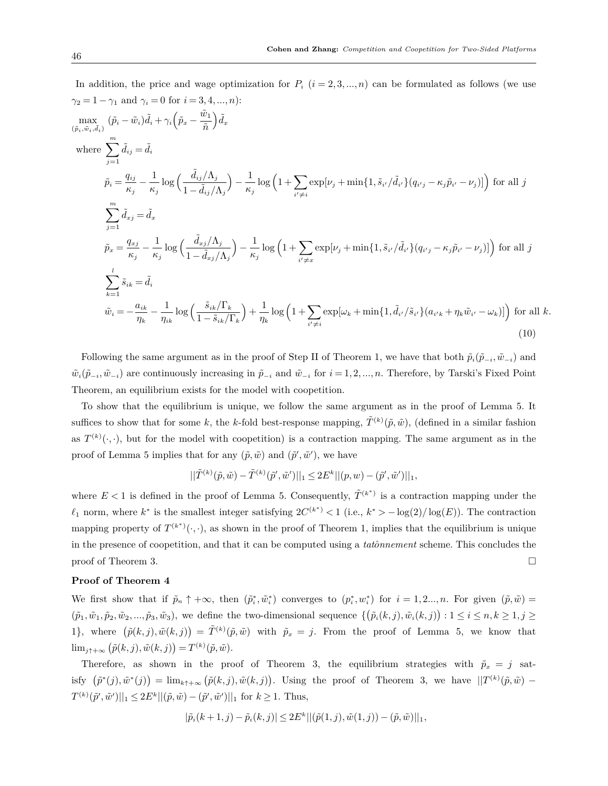In addition, the price and wage optimization for 
$$
I_i
$$
 ( $i \in \infty$ ,..., $n$ ) can be formulated as shows (we use  $\gamma_2 = 1 - \gamma_1$  and  $\gamma_i = 0$  for  $i = 3, 4, ..., n$ ):\n
$$
\max_{(\tilde{p}_i, \tilde{w}_i, \tilde{d}_i)} (\tilde{p}_i - \tilde{w}_i) \tilde{d}_i + \gamma_i \left( \tilde{p}_x - \frac{\tilde{w}_1}{\tilde{n}} \right) \tilde{d}_x
$$
\nwhere\n
$$
\sum_{j=1}^{m} \tilde{d}_{ij} = \tilde{d}_i
$$
\n
$$
\tilde{p}_i = \frac{q_{ij}}{\kappa_j} - \frac{1}{\kappa_j} \log \left( \frac{\tilde{d}_{ij}/\Lambda_j}{1 - \tilde{d}_{ij}/\Lambda_j} \right) - \frac{1}{\kappa_j} \log \left( 1 + \sum_{i' \neq i} \exp[\nu_j + \min\{1, \tilde{s}_{i'} / \tilde{d}_{i'}\} (q_{i'j} - \kappa_j \tilde{p}_{i'} - \nu_j)] \right)
$$
\nfor all  $j$ \n
$$
\sum_{j=1}^{m} \tilde{d}_{xj} = \tilde{d}_x
$$
\n
$$
\tilde{p}_x = \frac{q_{xj}}{\kappa_j} - \frac{1}{\kappa_j} \log \left( \frac{\tilde{d}_{xj}/\Lambda_j}{1 - \tilde{d}_{xj}/\Lambda_j} \right) - \frac{1}{\kappa_j} \log \left( 1 + \sum_{i' \neq x} \exp[\nu_j + \min\{1, \tilde{s}_{i'} / \tilde{d}_{i'}\} (q_{i'j} - \kappa_j \tilde{p}_{i'} - \nu_j)] \right)
$$
\nfor all  $j$ \n
$$
\sum_{k=1}^{l} \tilde{s}_{ik} = \tilde{d}_i
$$
\n
$$
\tilde{w}_i = -\frac{a_{ik}}{\eta_k} - \frac{1}{\eta_{ik}} \log \left( \frac{\tilde{s}_{ik}/\Gamma_k}{1 - \tilde{s}_{ik}/\Gamma_k} \right) + \frac{1}{\eta_k} \log \left( 1 + \sum_{i' \ne
$$

In addition, the price and wage optimization for  $P_i$  ( $i = 2, 3, \ldots, n$ ) can be formulated as follows (we use

Following the same argument as in the proof of Step II of Theorem 1, we have that both  $\tilde{p}_i(\tilde{p}_{-i}, \tilde{w}_{-i})$  and  $\tilde{w}_i(\tilde{p}_{-i}, \tilde{w}_{-i})$  are continuously increasing in  $\tilde{p}_{-i}$  and  $\tilde{w}_{-i}$  for  $i = 1, 2, ..., n$ . Therefore, by Tarski's Fixed Point Theorem, an equilibrium exists for the model with coopetition.

To show that the equilibrium is unique, we follow the same argument as in the proof of Lemma 5. It suffices to show that for some k, the k-fold best-response mapping,  $\tilde{T}^{(k)}(\tilde{p},\tilde{w})$ , (defined in a similar fashion as  $T^{(k)}(\cdot, \cdot)$ , but for the model with coopetition) is a contraction mapping. The same argument as in the proof of Lemma 5 implies that for any  $(\tilde{p}, \tilde{w})$  and  $(\tilde{p}', \tilde{w}')$ , we have

$$
||\tilde{T}^{(k)}(\tilde{p},\tilde{w})-\tilde{T}^{(k)}(\tilde{p}',\tilde{w}')||_1\leq 2E^k||(p,w)-(\tilde{p}',\tilde{w}')||_1,
$$

where  $E < 1$  is defined in the proof of Lemma 5. Consequently,  $\tilde{T}^{(k^*)}$  is a contraction mapping under the  $\ell_1$  norm, where  $k^*$  is the smallest integer satisfying  $2C^{(k^*)} < 1$  (i.e.,  $k^* > -\log(2)/\log(E)$ ). The contraction mapping property of  $T^{(k^*)}(\cdot, \cdot)$ , as shown in the proof of Theorem 1, implies that the equilibrium is unique in the presence of coopetition, and that it can be computed using a *tatônnement* scheme. This concludes the proof of Theorem 3.  $\Box$ 

#### **Proof of Theorem 4**

We first show that if  $\tilde{p}_n \uparrow +\infty$ , then  $(\tilde{p}_i^*, \tilde{w}_i^*)$  converges to  $(p_i^*, w_i^*)$  for  $i = 1, 2..., n$ . For given  $(\tilde{p}, \tilde{w})$  $(\tilde{p}_1, \tilde{w}_1, \tilde{p}_2, \tilde{w}_2, \ldots, \tilde{p}_3, \tilde{w}_3)$ , we define the two-dimensional sequence  $\{(\tilde{p}_i(k,j), \tilde{w}_i(k,j)) : 1 \leq i \leq n, k \geq 1, j \geq n\}$ 1}, where  $(\tilde{p}(k, j), \tilde{w}(k, j)) = \tilde{T}^{(k)}(\tilde{p}, \tilde{w})$  with  $\tilde{p}_x = j$ . From the proof of Lemma 5, we know that  $\lim_{j \uparrow +\infty} (\tilde{p}(k, j), \tilde{w}(k, j)) = T^{(k)}(\tilde{p}, \tilde{w}).$ 

Therefore, as shown in the proof of Theorem 3, the equilibrium strategies with  $\tilde{p}_x = j$  satisfy  $(\tilde{p}^*(j), \tilde{w}^*(j)) = \lim_{k \uparrow +\infty} (\tilde{p}(k,j), \tilde{w}(k,j)).$  Using the proof of Theorem 3, we have  $||T^{(k)}(\tilde{p}, \tilde{w}) T^{(k)}(\tilde{p}', \tilde{w}')||_1 \leq 2E^k ||(\tilde{p}, \tilde{w}) - (\tilde{p}', \tilde{w}')||_1$  for  $k \geq 1$ . Thus,

$$
|\tilde{p}_i(k+1,j) - \tilde{p}_i(k,j)| \leq 2E^k ||(\tilde{p}(1,j), \tilde{w}(1,j)) - (\tilde{p}, \tilde{w})||_1,
$$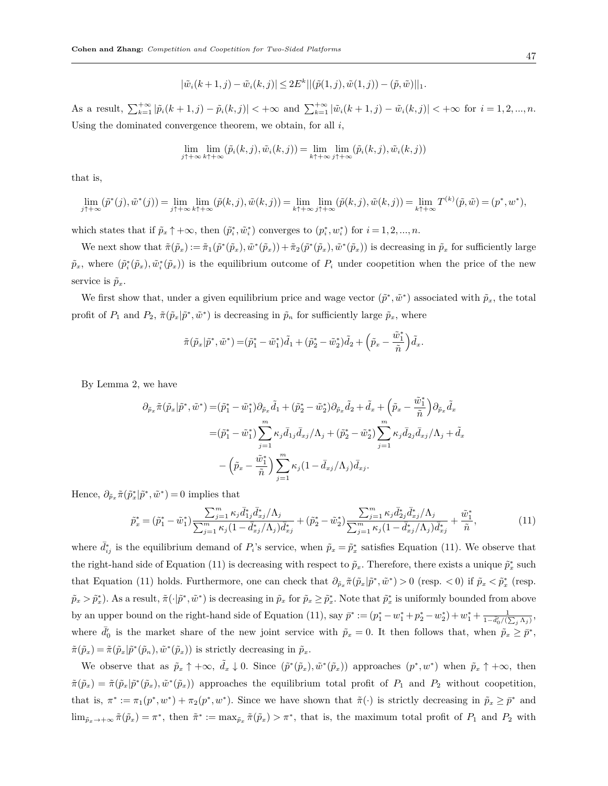$$
|\tilde{w}_i(k+1,j) - \tilde{w}_i(k,j)| \leq 2E^k ||(\tilde{p}(1,j), \tilde{w}(1,j)) - (\tilde{p}, \tilde{w})||_1.
$$

As a result,  $\sum_{k=1}^{+\infty} |\tilde{p}_i(k+1,j) - \tilde{p}_i(k,j)| < +\infty$  and  $\sum_{k=1}^{+\infty} |\tilde{w}_i(k+1,j) - \tilde{w}_i(k,j)| < +\infty$  for  $i = 1, 2, ..., n$ . Using the dominated convergence theorem, we obtain, for all *i*,

$$
\lim_{j\uparrow+\infty}\lim_{k\uparrow+\infty}(\tilde{p}_i(k,j),\tilde{w}_i(k,j)) = \lim_{k\uparrow+\infty}\lim_{j\uparrow+\infty}(\tilde{p}_i(k,j),\tilde{w}_i(k,j))
$$

that is,

$$
\lim_{j\uparrow+\infty}(\tilde{p}^*(j),\tilde{w}^*(j)) = \lim_{j\uparrow+\infty} \lim_{k\uparrow+\infty}(\tilde{p}(k,j),\tilde{w}(k,j)) = \lim_{k\uparrow+\infty} \lim_{j\uparrow+\infty}(\tilde{p}(k,j),\tilde{w}(k,j)) = \lim_{k\uparrow+\infty} T^{(k)}(\tilde{p},\tilde{w}) = (p^*,w^*),
$$

which states that if  $\tilde{p}_x \uparrow +\infty$ , then  $(\tilde{p}_i^*, \tilde{w}_i^*)$  converges to  $(p_i^*, w_i^*)$  for  $i = 1, 2, ..., n$ .

We next show that  $\tilde{\pi}(\tilde{p}_x) := \tilde{\pi}_1(\tilde{p}^*(\tilde{p}_x), \tilde{w}^*(\tilde{p}_x)) + \tilde{\pi}_2(\tilde{p}^*(\tilde{p}_x), \tilde{w}^*(\tilde{p}_x))$  is decreasing in  $\tilde{p}_x$  for sufficiently large  $\tilde{p}_x$ , where  $(\tilde{p}_i^*(\tilde{p}_x), \tilde{w}_i^*(\tilde{p}_x))$  is the equilibrium outcome of  $P_i$  under coopetition when the price of the new service is  $\tilde{p}_x$ .

We first show that, under a given equilibrium price and wage vector  $(\tilde{p}^*, \tilde{w}^*)$  associated with  $\tilde{p}_x$ , the total profit of  $P_1$  and  $P_2$ ,  $\tilde{\pi}(\tilde{p}_x|\tilde{p}^*, \tilde{w}^*)$  is decreasing in  $\tilde{p}_n$  for sufficiently large  $\tilde{p}_x$ , where

$$
\tilde{\pi}(\tilde{p}_x|\tilde{p}^*, \tilde{w}^*) = (\tilde{p}_1^* - \tilde{w}_1^*)\tilde{d}_1 + (\tilde{p}_2^* - \tilde{w}_2^*)\tilde{d}_2 + \left(\tilde{p}_x - \frac{\tilde{w}_1^*}{\tilde{n}}\right)\tilde{d}_x.
$$

By Lemma 2, we have

$$
\partial_{\tilde{p}_x} \tilde{\pi}(\tilde{p}_x|\tilde{p}^*, \tilde{w}^*) = (\tilde{p}_1^* - \tilde{w}_1^*) \partial_{\tilde{p}_x} \tilde{d}_1 + (\tilde{p}_2^* - \tilde{w}_2^*) \partial_{\tilde{p}_x} \tilde{d}_2 + \tilde{d}_x + (\tilde{p}_x - \frac{\tilde{w}_1^*}{\tilde{n}}) \partial_{\tilde{p}_x} \tilde{d}_x \n= (\tilde{p}_1^* - \tilde{w}_1^*) \sum_{j=1}^m \kappa_j \bar{d}_{1j} \bar{d}_{xj} / \Lambda_j + (\tilde{p}_2^* - \tilde{w}_2^*) \sum_{j=1}^m \kappa_j \bar{d}_{2j} \bar{d}_{xj} / \Lambda_j + \tilde{d}_x \n- (\tilde{p}_x - \frac{\tilde{w}_1^*}{\tilde{n}}) \sum_{j=1}^m \kappa_j (1 - \bar{d}_{xj} / \Lambda_j) \bar{d}_{xj}.
$$

Hence,  $\partial_{\tilde{p}_x} \tilde{\pi}(\tilde{p}_x^* | \tilde{p}^*, \tilde{w}^*) = 0$  implies that

$$
\tilde{p}_x^* = (\tilde{p}_1^* - \tilde{w}_1^*) \frac{\sum_{j=1}^m \kappa_j \bar{d}_{1j}^* \bar{d}_{xj}^* / \Lambda_j}{\sum_{j=1}^m \kappa_j (1 - \bar{d}_{xj}^* / \Lambda_j) \bar{d}_{xj}^*} + (\tilde{p}_2^* - \tilde{w}_2^*) \frac{\sum_{j=1}^m \kappa_j \bar{d}_{2j}^* \bar{d}_{xj}^* / \Lambda_j}{\sum_{j=1}^m \kappa_j (1 - \bar{d}_{xj}^* / \Lambda_j) \bar{d}_{xj}^*} + \frac{\tilde{w}_1^*}{\tilde{n}},
$$
\n(11)

where  $\bar{d}_{ij}^*$  is the equilibrium demand of  $P_i$ 's service, when  $\tilde{p}_x = \tilde{p}_x^*$  satisfies Equation (11). We observe that the right-hand side of Equation (11) is decreasing with respect to  $\tilde{p}_x$ . Therefore, there exists a unique  $\tilde{p}_x^*$  such that Equation (11) holds. Furthermore, one can check that  $\partial_{\tilde{p}_x} \tilde{\pi}(\tilde{p}_x|\tilde{p}^*, \tilde{w}^*) > 0$  (resp.  $< 0$ ) if  $\tilde{p}_x < \tilde{p}_x^*$  (resp.  $\tilde{p}_x > \tilde{p}_x^*$ ). As a result,  $\tilde{\pi}(\cdot|\tilde{p}^*, \tilde{w}^*)$  is decreasing in  $\tilde{p}_x$  for  $\tilde{p}_x \geq \tilde{p}_x^*$ . Note that  $\tilde{p}_x^*$  is uniformly bounded from above by an upper bound on the right-hand side of Equation (11), say  $\bar{p}^* := (p_1^* - w_1^* + p_2^* - w_2^*) + w_1^* + \frac{1}{1 - \bar{d}_0' / (\sum_j \Lambda_j)},$ where  $\bar{d}'_0$  is the market share of the new joint service with  $\tilde{p}_x = 0$ . It then follows that, when  $\tilde{p}_x \geq \bar{p}^*$ ,  $\tilde{\pi}(\tilde{p}_x) = \tilde{\pi}(\tilde{p}_x|\tilde{p}^*(\tilde{p}_n), \tilde{w}^*(\tilde{p}_x))$  is strictly decreasing in  $\tilde{p}_x$ .

We observe that as  $\tilde{p}_x \uparrow +\infty$ ,  $\tilde{d}_x \downarrow 0$ . Since  $(\tilde{p}^*(\tilde{p}_x), \tilde{w}^*(\tilde{p}_x))$  approaches  $(p^*, w^*)$  when  $\tilde{p}_x \uparrow +\infty$ , then  $\tilde{\pi}(\tilde{p}_x) = \tilde{\pi}(\tilde{p}_x|\tilde{p}^*(\tilde{p}_x), \tilde{w}^*(\tilde{p}_x))$  approaches the equilibrium total profit of  $P_1$  and  $P_2$  without coopetition, that is,  $\pi^* := \pi_1(p^*, w^*) + \pi_2(p^*, w^*)$ . Since we have shown that  $\tilde{\pi}(\cdot)$  is strictly decreasing in  $\tilde{p}_x \geq \bar{p}^*$  and  $\lim_{\tilde{p}_x \to +\infty} \tilde{\pi}(\tilde{p}_x) = \pi^*$ , then  $\tilde{\pi}^* := \max_{\tilde{p}_x} \tilde{\pi}(\tilde{p}_x) > \pi^*$ , that is, the maximum total profit of  $P_1$  and  $P_2$  with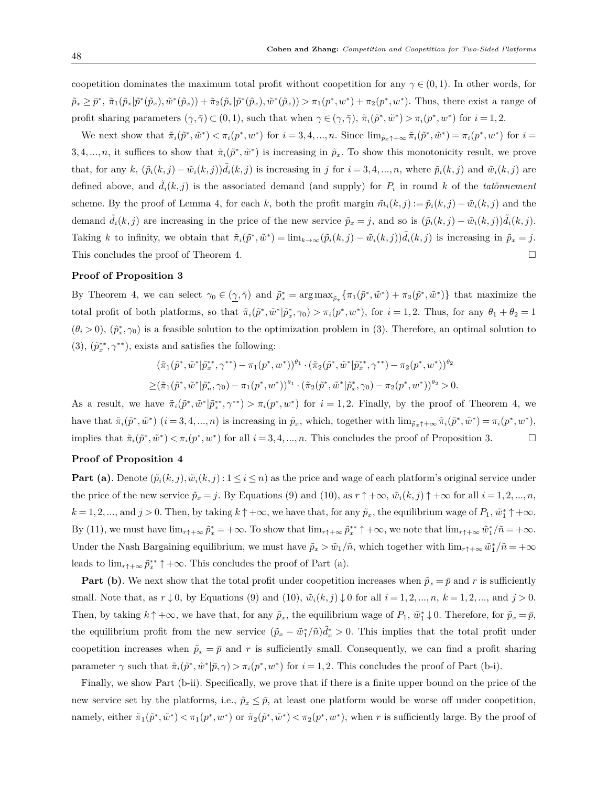coopetition dominates the maximum total profit without coopetition for any  $\gamma \in (0,1)$ . In other words, for  $\tilde{p}_x \geq \bar{p}^*, \ \tilde{\pi}_1(\tilde{p}_x|\tilde{p}^*(\tilde{p}_x),\tilde{w}^*(\tilde{p}_x)) + \tilde{\pi}_2(\tilde{p}_x|\tilde{p}^*(\tilde{p}_x),\tilde{w}^*(\tilde{p}_x)) > \pi_1(p^*,w^*) + \pi_2(p^*,w^*).$  Thus, there exist a range of profit sharing parameters  $(\gamma, \overline{\gamma}) \subset (0, 1)$ , such that when  $\gamma \in (\gamma, \overline{\gamma})$ ,  $\tilde{\pi}_i(\tilde{p}^*, \tilde{w}^*) > \pi_i(p^*, w^*)$  for  $i = 1, 2$ .

We next show that  $\tilde{\pi}_i(\tilde{p}^*, \tilde{w}^*) < \pi_i(p^*, w^*)$  for  $i = 3, 4, ..., n$ . Since  $\lim_{\tilde{p}_x \uparrow + \infty} \tilde{\pi}_i(\tilde{p}^*, \tilde{w}^*) = \pi_i(p^*, w^*)$  for  $i =$ 3, 4, ..., *n*, it suffices to show that  $\tilde{\pi}_i(\tilde{p}^*, \tilde{w}^*)$  is increasing in  $\tilde{p}_x$ . To show this monotonicity result, we prove that, for any k,  $(\tilde{p}_i(k,j) - \tilde{w}_i(k,j))\tilde{d}_i(k,j)$  is increasing in j for  $i = 3, 4, ..., n$ , where  $\tilde{p}_i(k,j)$  and  $\tilde{w}_i(k,j)$  are defined above, and  $\tilde{d}_i(k, j)$  is the associated demand (and supply) for  $P_i$  in round  $k$  of the *tatoonnement* scheme. By the proof of Lemma 4, for each k, both the profit margin  $\tilde{m}_i(k,j) := \tilde{p}_i(k,j) - \tilde{w}_i(k,j)$  and the demand  $\tilde{d}_i(k,j)$  are increasing in the price of the new service  $\tilde{p}_x = j$ , and so is  $(\tilde{p}_i(k,j) - \tilde{w}_i(k,j))\tilde{d}_i(k,j)$ . Taking k to infinity, we obtain that  $\tilde{\pi}_i(\tilde{p}^*, \tilde{w}^*) = \lim_{k \to \infty} (\tilde{p}_i(k,j) - \tilde{w}_i(k,j)) \tilde{d}_i(k,j)$  is increasing in  $\tilde{p}_x = j$ . This concludes the proof of Theorem 4.  $\Box$ 

## **Proof of Proposition 3**

By Theorem 4, we can select  $\gamma_0 \in (\underline{\gamma}, \overline{\gamma})$  and  $\tilde{p}_x^* = \arg \max_{\tilde{p}_x} {\{\pi_1(\tilde{p}^*, \tilde{w}^*) + \pi_2(\tilde{p}^*, \tilde{w}^*)\}}$  that maximize the total profit of both platforms, so that  $\tilde{\pi}_i(\tilde{p}^*, \tilde{w}^* | \tilde{p}_x^*, \gamma_0) > \pi_i(p^*, w^*)$ , for  $i = 1, 2$ . Thus, for any  $\theta_1 + \theta_2 = 1$  $(\theta_i > 0)$ ,  $(\tilde{p}_x^*, \gamma_0)$  is a feasible solution to the optimization problem in (3). Therefore, an optimal solution to (3),  $(\tilde{p}_x^{**}, \gamma^{**})$ , exists and satisfies the following:

$$
(\tilde{\pi}_1(\tilde{p}^*, \tilde{w}^*|\tilde{p}_x^{**}, \gamma^{**}) - \pi_1(p^*, w^*))^{\theta_1} \cdot (\tilde{\pi}_2(\tilde{p}^*, \tilde{w}^*|\tilde{p}_x^{**}, \gamma^{**}) - \pi_2(p^*, w^*))^{\theta_2}
$$
  
\n
$$
\geq (\tilde{\pi}_1(\tilde{p}^*, \tilde{w}^*|\tilde{p}_x^*, \gamma_0) - \pi_1(p^*, w^*))^{\theta_1} \cdot (\tilde{\pi}_2(\tilde{p}^*, \tilde{w}^*|\tilde{p}_x^*, \gamma_0) - \pi_2(p^*, w^*))^{\theta_2} > 0.
$$

As a result, we have  $\tilde{\pi}_i(\tilde{p}^*, \tilde{w}^* | \tilde{p}_x^{**}, \gamma^{**}) > \pi_i(p^*, w^*)$  for  $i = 1, 2$ . Finally, by the proof of Theorem 4, we have that  $\tilde{\pi}_i(\tilde{p}^*, \tilde{w}^*)$   $(i = 3, 4, ..., n)$  is increasing in  $\tilde{p}_x$ , which, together with  $\lim_{\tilde{p}_x \uparrow +\infty} \tilde{\pi}_i(\tilde{p}^*, \tilde{w}^*) = \pi_i(p^*, w^*),$ implies that  $\tilde{\pi}_i(\tilde{p}^*, \tilde{w}^*) < \pi_i(p^*, w^*)$  for all  $i = 3, 4, ..., n$ . This concludes the proof of Proposition 3.

## **Proof of Proposition 4**

**Part (a)**. Denote  $(\tilde{p}_i(k, j), \tilde{w}_i(k, j) : 1 \leq i \leq n)$  as the price and wage of each platform's original service under the price of the new service  $\tilde{p}_x = j$ . By Equations (9) and (10), as  $r \uparrow +\infty$ ,  $\tilde{w}_i(k,j) \uparrow +\infty$  for all  $i = 1, 2, ..., n$ ,  $k = 1, 2, \ldots$ , and  $j > 0$ . Then, by taking  $k \uparrow +\infty$ , we have that, for any  $\tilde{p}_x$ , the equilibrium wage of  $P_1$ ,  $\tilde{w}_1^* \uparrow +\infty$ . By (11), we must have  $\lim_{r\uparrow+\infty}\tilde{p}_x^* = +\infty$ . To show that  $\lim_{r\uparrow+\infty}\tilde{p}_x^{**}\uparrow+\infty$ , we note that  $\lim_{r\uparrow+\infty}\tilde{w}_1^*/\tilde{n} = +\infty$ . Under the Nash Bargaining equilibrium, we must have  $\tilde{p}_x > \tilde{w}_1/\tilde{n}$ , which together with  $\lim_{r \uparrow +\infty} \tilde{w}_1^*/\tilde{n} = +\infty$ leads to  $\lim_{r \uparrow +\infty} \tilde{p}_x^{**} \uparrow +\infty$ . This concludes the proof of Part (a).

**Part (b)**. We next show that the total profit under coopetition increases when  $\tilde{p}_x = \bar{p}$  and r is sufficiently small. Note that, as  $r \downarrow 0$ , by Equations (9) and (10),  $\tilde{w}_i(k,j) \downarrow 0$  for all  $i = 1, 2, ..., n$ ,  $k = 1, 2, ...,$  and  $j > 0$ . Then, by taking  $k \uparrow +\infty$ , we have that, for any  $\tilde{p}_x$ , the equilibrium wage of  $P_1$ ,  $\tilde{w}_1^* \downarrow 0$ . Therefore, for  $\tilde{p}_x = \bar{p}$ , the equilibrium profit from the new service  $(\tilde{p}_x - \tilde{w}_1^*/\tilde{n})\tilde{d}_x^* > 0$ . This implies that the total profit under coopetition increases when  $\tilde{p}_x = \bar{p}$  and *r* is sufficiently small. Consequently, we can find a profit sharing parameter  $\gamma$  such that  $\tilde{\pi}_i(\tilde{p}^*, \tilde{w}^* | \bar{p}, \gamma) > \pi_i(p^*, w^*)$  for  $i = 1, 2$ . This concludes the proof of Part (b-i).

Finally, we show Part (b-ii). Specifically, we prove that if there is a finite upper bound on the price of the new service set by the platforms, i.e.,  $\tilde{p}_x \leq \bar{p}$ , at least one platform would be worse off under coopetition, namely, either  $\tilde{\pi}_1(\tilde{p}^*, \tilde{w}^*) < \pi_1(p^*, w^*)$  or  $\tilde{\pi}_2(\tilde{p}^*, \tilde{w}^*) < \pi_2(p^*, w^*)$ , when r is sufficiently large. By the proof of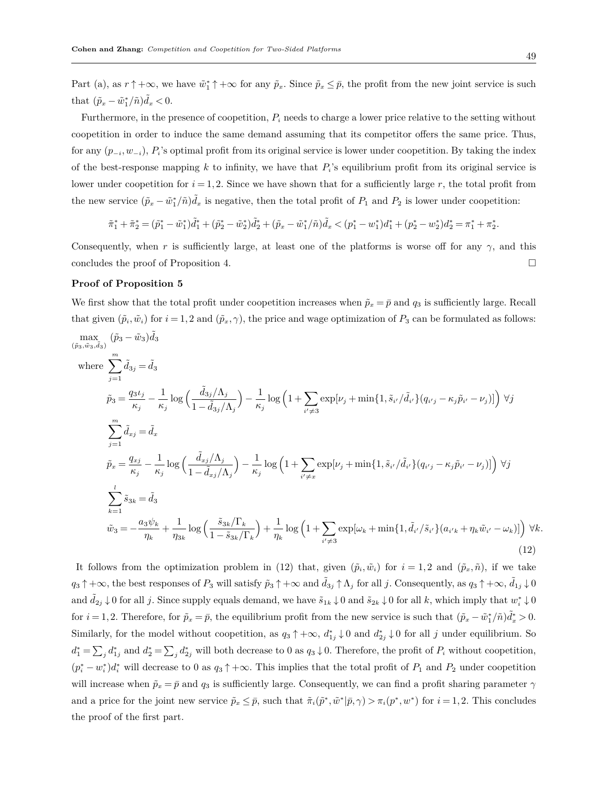Part (a), as  $r \uparrow +\infty$ , we have  $\tilde{w}_1^* \uparrow +\infty$  for any  $\tilde{p}_x$ . Since  $\tilde{p}_x \leq \bar{p}$ , the profit from the new joint service is such that  $(\tilde{p}_x - \tilde{w}_1^*/\tilde{n})\tilde{d}_x < 0$ .

Furthermore, in the presence of coopetition, *P<sup>i</sup>* needs to charge a lower price relative to the setting without coopetition in order to induce the same demand assuming that its competitor offers the same price. Thus, for any  $(p_{-i}, w_{-i}), P_i$ 's optimal profit from its original service is lower under coopetition. By taking the index of the best-response mapping  $k$  to infinity, we have that  $P_i$ 's equilibrium profit from its original service is lower under coopetition for  $i = 1, 2$ . Since we have shown that for a sufficiently large  $r$ , the total profit from the new service  $(\tilde{p}_x - \tilde{w}_1^*/\tilde{n})\tilde{d}_x$  is negative, then the total profit of  $P_1$  and  $P_2$  is lower under coopetition:

$$
\tilde{\pi}_1^*+\tilde{\pi}_2^*=(\tilde{p}_1^*-\tilde{w}_1^*)\tilde{d}_1^*+(\tilde{p}_2^*-\tilde{w}_2^*)\tilde{d}_2^*+(\tilde{p}_x-\tilde{w}_1^*/\tilde{n})\tilde{d}_x < (p_1^*-w_1^*)d_1^*+(p_2^*-w_2^*)d_2^*=\pi_1^*+\pi_2^*
$$

Consequently, when *r* is sufficiently large, at least one of the platforms is worse off for any  $\gamma$ , and this concludes the proof of Proposition 4.  $\Box$ 

# **Proof of Proposition 5**

We first show that the total profit under coopetition increases when  $\tilde{p}_x = \bar{p}$  and  $q_3$  is sufficiently large. Recall that given  $(\tilde{p}_i, \tilde{w}_i)$  for  $i = 1, 2$  and  $(\tilde{p}_x, \gamma)$ , the price and wage optimization of  $P_3$  can be formulated as follows:

$$
\max_{(\tilde{p}_3, \tilde{w}_3, \tilde{d}_3)} (\tilde{p}_3 - \tilde{w}_3) \tilde{d}_3
$$
\nwhere\n
$$
\sum_{j=1}^{m} \tilde{d}_{3j} = \tilde{d}_3
$$
\n
$$
\tilde{p}_3 = \frac{q_3 \iota_j}{\kappa_j} - \frac{1}{\kappa_j} \log \left( \frac{\tilde{d}_{3j}/\Lambda_j}{1 - \tilde{d}_{3j}/\Lambda_j} \right) - \frac{1}{\kappa_j} \log \left( 1 + \sum_{i' \neq 3} \exp[\nu_j + \min\{1, \tilde{s}_{i'} / \tilde{d}_{i'}\} (q_{i'j} - \kappa_j \tilde{p}_{i'} - \nu_j)] \right) \forall j
$$
\n
$$
\sum_{j=1}^{m} \tilde{d}_{xj} = \tilde{d}_x
$$
\n
$$
\tilde{p}_x = \frac{q_{xj}}{\kappa_j} - \frac{1}{\kappa_j} \log \left( \frac{\tilde{d}_{xj}/\Lambda_j}{1 - \tilde{d}_{xj}/\Lambda_j} \right) - \frac{1}{\kappa_j} \log \left( 1 + \sum_{i' \neq x} \exp[\nu_j + \min\{1, \tilde{s}_{i'} / \tilde{d}_{i'}\} (q_{i'j} - \kappa_j \tilde{p}_{i'} - \nu_j)] \right) \forall j
$$
\n
$$
\sum_{k=1}^{l} \tilde{s}_{3k} = \tilde{d}_3
$$
\n
$$
\tilde{w}_3 = -\frac{a_3 \psi_k}{\eta_k} + \frac{1}{\eta_{3k}} \log \left( \frac{\tilde{s}_{3k}/\Gamma_k}{1 - \tilde{s}_{3k}/\Gamma_k} \right) + \frac{1}{\eta_k} \log \left( 1 + \sum_{i' \neq 3} \exp[\omega_k + \min\{1, \tilde{d}_{i'} / \tilde{s}_{i'}\} (a_{i'k} + \eta_k \tilde{w}_{i'} - \omega_k)] \right) \forall k.
$$
\n(12)

It follows from the optimization problem in (12) that, given  $(\tilde{p}_i, \tilde{w}_i)$  for  $i = 1, 2$  and  $(\tilde{p}_x, \tilde{n})$ , if we take  $q_3 \uparrow +\infty$ , the best responses of  $P_3$  will satisfy  $\tilde{p}_3 \uparrow +\infty$  and  $\tilde{d}_{3j} \uparrow \Lambda_j$  for all j. Consequently, as  $q_3 \uparrow +\infty$ ,  $\tilde{d}_{1j} \downarrow 0$ and  $\tilde{d}_{2j} \downarrow 0$  for all *j*. Since supply equals demand, we have  $\tilde{s}_{1k} \downarrow 0$  and  $\tilde{s}_{2k} \downarrow 0$  for all *k*, which imply that  $w_i^* \downarrow 0$ for  $i = 1, 2$ . Therefore, for  $\tilde{p}_x = \bar{p}$ , the equilibrium profit from the new service is such that  $(\tilde{p}_x - \tilde{w}_1^*/\tilde{n})\tilde{d}_x^* > 0$ . Similarly, for the model without coopetition, as  $q_3 \uparrow +\infty$ ,  $d_{1j}^* \downarrow 0$  and  $d_{2j}^* \downarrow 0$  for all *j* under equilibrium. So  $d_1^* = \sum_j d_{1j}^*$  and  $d_2^* = \sum_j d_{2j}^*$  will both decrease to 0 as  $q_3 \downarrow 0$ . Therefore, the profit of  $P_i$  without coopetition,  $(p_i^* - w_i^*)d_i^*$  will decrease to 0 as  $q_3 \uparrow +\infty$ . This implies that the total profit of  $P_1$  and  $P_2$  under coopetition will increase when  $\tilde{p}_x = \bar{p}$  and  $q_3$  is sufficiently large. Consequently, we can find a profit sharing parameter  $\gamma$ and a price for the joint new service  $\tilde{p}_x \leq \bar{p}$ , such that  $\tilde{\pi}_i(\tilde{p}^*, \tilde{w}^* | \bar{p}, \gamma) > \pi_i(p^*, w^*)$  for  $i = 1, 2$ . This concludes the proof of the first part.

*.*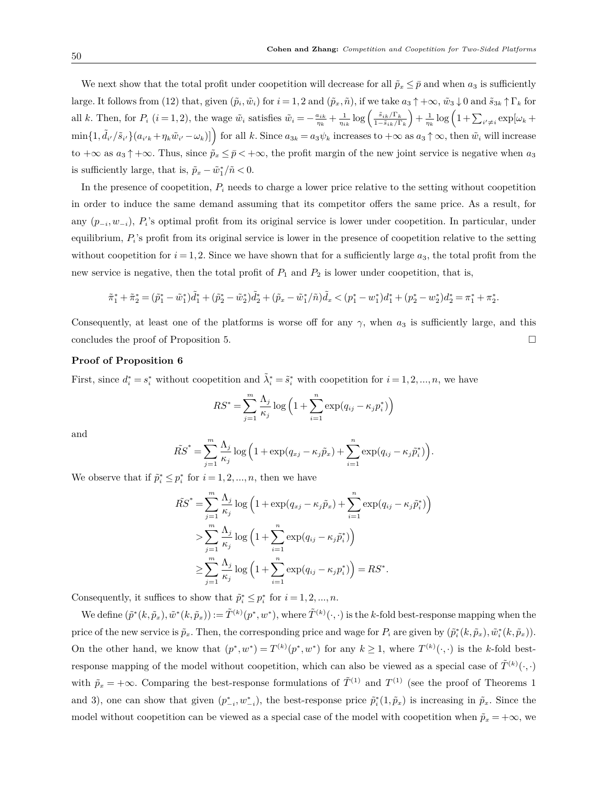We next show that the total profit under coopetition will decrease for all  $\tilde{p}_x \leq \bar{p}$  and when  $a_3$  is sufficiently large. It follows from (12) that, given  $(\tilde{p}_i, \tilde{w}_i)$  for  $i = 1, 2$  and  $(\tilde{p}_x, \tilde{n})$ , if we take  $a_3 \uparrow +\infty$ ,  $\tilde{w}_3 \downarrow 0$  and  $\tilde{s}_{3k} \uparrow \Gamma_k$  for all k. Then, for  $P_i$   $(i = 1, 2)$ , the wage  $\tilde{w}_i$  satisfies  $\tilde{w}_i = -\frac{a_{ik}}{\eta_k} + \frac{1}{\eta_{ik}} \log \left( \frac{\tilde{s}_{ik}/\Gamma_k}{1 - \tilde{s}_{ik}/\Gamma_k} \right)$ 1*−s*˜*ik/*Γ*<sup>k</sup>*  $\int + \frac{1}{\eta_k} \log \left( 1 + \sum_{i' \neq i} \exp[\omega_k + \right)$  $\min\{1,\tilde{d}_{i'}/\tilde{s}_{i'}\}(a_{i'k}+\eta_k\tilde{w}_{i'}-\omega_k)]\}\)$  for all k. Since  $a_{3k}=a_3\psi_k$  increases to  $+\infty$  as  $a_3\uparrow\infty$ , then  $\tilde{w}_i$  will increase to  $+\infty$  as  $a_3 \uparrow +\infty$ . Thus, since  $\tilde{p}_x \leq \bar{p} < +\infty$ , the profit margin of the new joint service is negative when  $a_3$ is sufficiently large, that is,  $\tilde{p}_x - \tilde{w}_1^* / \tilde{n} < 0$ .

In the presence of coopetition, *P<sup>i</sup>* needs to charge a lower price relative to the setting without coopetition in order to induce the same demand assuming that its competitor offers the same price. As a result, for any (*p−<sup>i</sup> , w−<sup>i</sup>*), *P<sup>i</sup>* 's optimal profit from its original service is lower under coopetition. In particular, under equilibrium,  $P_i$ 's profit from its original service is lower in the presence of coopetition relative to the setting without coopetition for  $i = 1, 2$ . Since we have shown that for a sufficiently large  $a_3$ , the total profit from the new service is negative, then the total profit of  $P_1$  and  $P_2$  is lower under coopetition, that is,

$$
\tilde{\pi}_1^* + \tilde{\pi}_2^* = (\tilde{p}_1^* - \tilde{w}_1^*)\tilde{d}_1^* + (\tilde{p}_2^* - \tilde{w}_2^*)\tilde{d}_2^* + (\tilde{p}_x - \tilde{w}_1^*/\tilde{n})\tilde{d}_x < (p_1^* - w_1^*)d_1^* + (p_2^* - w_2^*)d_2^* = \pi_1^* + \pi_2^*.
$$

Consequently, at least one of the platforms is worse off for any *γ*, when *a*<sup>3</sup> is sufficiently large, and this concludes the proof of Proposition 5.  $\Box$ 

## **Proof of Proposition 6**

First, since  $d_i^* = s_i^*$  without coopetition and  $\tilde{\lambda}_i^* = \tilde{s}_i^*$  with coopetition for  $i = 1, 2, ..., n$ , we have

$$
RS^* = \sum_{j=1}^{m} \frac{\Lambda_j}{\kappa_j} \log \left( 1 + \sum_{i=1}^{n} \exp(q_{ij} - \kappa_j p_i^*) \right)
$$

and

$$
\tilde{RS}^* = \sum_{j=1}^m \frac{\Lambda_j}{\kappa_j} \log \left( 1 + \exp(q_{xj} - \kappa_j \tilde{p}_x) + \sum_{i=1}^n \exp(q_{ij} - \kappa_j \tilde{p}_i^*) \right).
$$

We observe that if  $\tilde{p}_i^* \leq p_i^*$  for  $i = 1, 2, ..., n$ , then we have

$$
\tilde{RS}^* = \sum_{j=1}^m \frac{\Lambda_j}{\kappa_j} \log \left( 1 + \exp(q_{xj} - \kappa_j \tilde{p}_x) + \sum_{i=1}^n \exp(q_{ij} - \kappa_j \tilde{p}_i^*) \right)
$$
  
> 
$$
\sum_{j=1}^m \frac{\Lambda_j}{\kappa_j} \log \left( 1 + \sum_{i=1}^n \exp(q_{ij} - \kappa_j \tilde{p}_i^*) \right)
$$
  

$$
\geq \sum_{j=1}^m \frac{\Lambda_j}{\kappa_j} \log \left( 1 + \sum_{i=1}^n \exp(q_{ij} - \kappa_j p_i^*) \right) = RS^*.
$$

Consequently, it suffices to show that  $\tilde{p}_i^* \leq p_i^*$  for  $i = 1, 2, ..., n$ .

We define  $(\tilde{p}^*(k, \tilde{p}_x), \tilde{w}^*(k, \tilde{p}_x)) := \tilde{T}^{(k)}(p^*, w^*)$ , where  $\tilde{T}^{(k)}(\cdot, \cdot)$  is the k-fold best-response mapping when the price of the new service is  $\tilde{p}_x$ . Then, the corresponding price and wage for  $P_i$  are given by  $(\tilde{p}_i^*(k, \tilde{p}_x), \tilde{w}_i^*(k, \tilde{p}_x))$ . On the other hand, we know that  $(p^*, w^*) = T^{(k)}(p^*, w^*)$  for any  $k \ge 1$ , where  $T^{(k)}(\cdot, \cdot)$  is the k-fold bestresponse mapping of the model without coopetition, which can also be viewed as a special case of  $\tilde{T}^{(k)}(\cdot,\cdot)$ with  $\tilde{p}_x = +\infty$ . Comparing the best-response formulations of  $\tilde{T}^{(1)}$  and  $T^{(1)}$  (see the proof of Theorems 1 and 3), one can show that given  $(p^*_{-i}, w^*_{-i})$ , the best-response price  $\tilde{p}_i^*(1, \tilde{p}_x)$  is increasing in  $\tilde{p}_x$ . Since the model without coopetition can be viewed as a special case of the model with coopetition when  $\tilde{p}_x = +\infty$ , we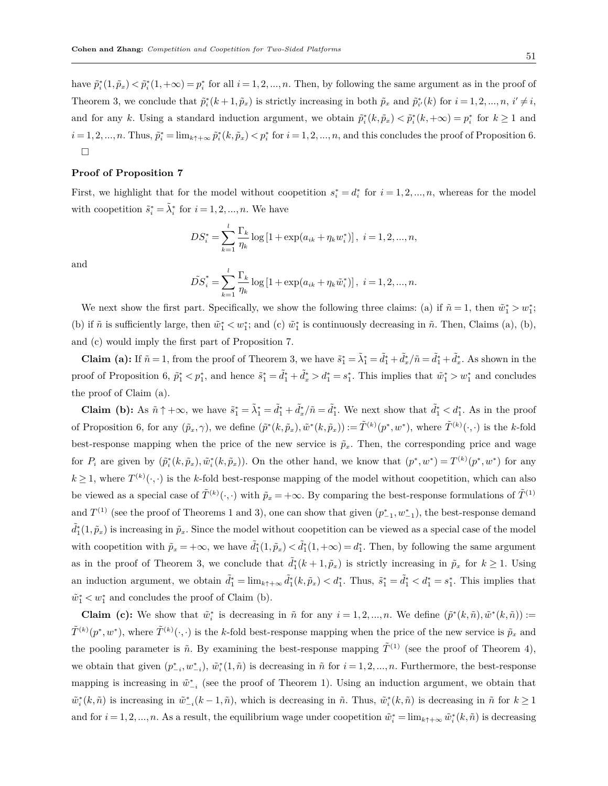have  $\tilde{p}_i^*(1, \tilde{p}_x) < \tilde{p}_i^*(1, +\infty) = p_i^*$  for all  $i = 1, 2, ..., n$ . Then, by following the same argument as in the proof of Theorem 3, we conclude that  $\tilde{p}_i^*(k+1,\tilde{p}_x)$  is strictly increasing in both  $\tilde{p}_x$  and  $\tilde{p}_{i'}^*(k)$  for  $i=1,2,...,n$ ,  $i'\neq i$ , and for any k. Using a standard induction argument, we obtain  $\tilde{p}_i^*(k, \tilde{p}_x) < \tilde{p}_i^*(k, +\infty) = p_i^*$  for  $k \ge 1$  and  $i=1,2,...,n$ . Thus,  $\tilde{p}_i^* = \lim_{k \uparrow + \infty} \tilde{p}_i^*(k, \tilde{p}_x) < p_i^*$  for  $i=1,2,...,n$ , and this concludes the proof of Proposition 6. □

# **Proof of Proposition 7**

First, we highlight that for the model without coopetition  $s_i^* = d_i^*$  for  $i = 1, 2, ..., n$ , whereas for the model with coopetition  $\tilde{s}_i^* = \tilde{\lambda}_i^*$  for  $i = 1, 2, ..., n$ . We have

$$
DS_i^* = \sum_{k=1}^{l} \frac{\Gamma_k}{\eta_k} \log \left[ 1 + \exp(a_{ik} + \eta_k w_i^*) \right], \ i = 1, 2, ..., n,
$$

and

$$
\tilde{DS}_{i}^{*} = \sum_{k=1}^{l} \frac{\Gamma_{k}}{\eta_{k}} \log \left[ 1 + \exp(a_{ik} + \eta_{k} \tilde{w}_{i}^{*}) \right], i = 1, 2, ..., n.
$$

We next show the first part. Specifically, we show the following three claims: (a) if  $\tilde{n} = 1$ , then  $\tilde{w}_1^* > w_1^*$ ; (b) if  $\tilde{n}$  is sufficiently large, then  $\tilde{w}_1^* < w_1^*$ ; and (c)  $\tilde{w}_1^*$  is continuously decreasing in  $\tilde{n}$ . Then, Claims (a), (b), and (c) would imply the first part of Proposition 7.

**Claim (a):** If  $\tilde{n} = 1$ , from the proof of Theorem 3, we have  $\tilde{s}_1^* = \tilde{\lambda}_1^* = \tilde{d}_1^* + \tilde{d}_2^* / \tilde{n} = \tilde{d}_1^* + \tilde{d}_2^*$ . As shown in the proof of Proposition 6,  $\tilde{p}_1^* < p_1^*$ , and hence  $\tilde{s}_1^* = \tilde{d}_1^* + \tilde{d}_x^* > d_1^* = s_1^*$ . This implies that  $\tilde{w}_1^* > w_1^*$  and concludes the proof of Claim (a).

**Claim (b):** As  $\tilde{n} \uparrow +\infty$ , we have  $\tilde{s}_1^* = \tilde{\lambda}_1^* = \tilde{d}_1^* + \tilde{d}_2^* / \tilde{n} = \tilde{d}_1^*$ . We next show that  $\tilde{d}_1^* < d_1^*$ . As in the proof of Proposition 6, for any  $(\tilde{p}_x, \gamma)$ , we define  $(\tilde{p}^*(k, \tilde{p}_x), \tilde{w}^*(k, \tilde{p}_x)) := \tilde{T}^{(k)}(p^*, w^*)$ , where  $\tilde{T}^{(k)}(\cdot, \cdot)$  is the k-fold best-response mapping when the price of the new service is  $\tilde{p}_x$ . Then, the corresponding price and wage for  $P_i$  are given by  $(\tilde{p}_i^*(k, \tilde{p}_x), \tilde{w}_i^*(k, \tilde{p}_x))$ . On the other hand, we know that  $(p^*, w^*) = T^{(k)}(p^*, w^*)$  for any  $k \geq 1$ , where  $T^{(k)}(\cdot, \cdot)$  is the *k*-fold best-response mapping of the model without coopetition, which can also be viewed as a special case of  $\tilde{T}^{(k)}(\cdot,\cdot)$  with  $\tilde{p}_x = +\infty$ . By comparing the best-response formulations of  $\tilde{T}^{(1)}$ and  $T^{(1)}$  (see the proof of Theorems 1 and 3), one can show that given  $(p^*_{-1}, w^*_{-1})$ , the best-response demand  $\tilde{d}_{1}^{*}(1,\tilde{p}_{x})$  is increasing in  $\tilde{p}_{x}$ . Since the model without coopetition can be viewed as a special case of the model with coopetition with  $\tilde{p}_x = +\infty$ , we have  $\tilde{d}_1^*(1,\tilde{p}_x) < \tilde{d}_1^*(1,+\infty) = d_1^*$ . Then, by following the same argument as in the proof of Theorem 3, we conclude that  $\tilde{d}_1^*(k+1,\tilde{p}_x)$  is strictly increasing in  $\tilde{p}_x$  for  $k \geq 1$ . Using an induction argument, we obtain  $\tilde{d}_1^* = \lim_{k \uparrow +\infty} \tilde{d}_1^*(k, \tilde{p}_x) < d_1^*$ . Thus,  $\tilde{s}_1^* = \tilde{d}_1^* < d_1^* = s_1^*$ . This implies that  $\tilde{w}_1^*$  <  $w_1^*$  and concludes the proof of Claim (b).

**Claim** (c): We show that  $\tilde{w}_i^*$  is decreasing in  $\tilde{n}$  for any  $i = 1, 2, ..., n$ . We define  $(\tilde{p}^*(k, \tilde{n}), \tilde{w}^*(k, \tilde{n})) :=$  $\tilde{T}^{(k)}(p^*,w^*)$ , where  $\tilde{T}^{(k)}(\cdot,\cdot)$  is the *k*-fold best-response mapping when the price of the new service is  $\tilde{p}_x$  and the pooling parameter is  $\tilde{n}$ . By examining the best-response mapping  $\tilde{T}^{(1)}$  (see the proof of Theorem 4), we obtain that given  $(p^*_{-i}, w^*_{-i}), \tilde{w}^*_i(1,\tilde{n})$  is decreasing in  $\tilde{n}$  for  $i = 1, 2, ..., n$ . Furthermore, the best-response mapping is increasing in  $\tilde{w}^*_{-i}$  (see the proof of Theorem 1). Using an induction argument, we obtain that  $\tilde{w}_i^*(k, \tilde{n})$  is increasing in  $\tilde{w}_{-i}^*(k-1, \tilde{n})$ , which is decreasing in  $\tilde{n}$ . Thus,  $\tilde{w}_i^*(k, \tilde{n})$  is decreasing in  $\tilde{n}$  for  $k \ge 1$ and for  $i = 1, 2, ..., n$ . As a result, the equilibrium wage under coopetition  $\tilde{w}_i^* = \lim_{k \uparrow + \infty} \tilde{w}_i^*(k, \tilde{n})$  is decreasing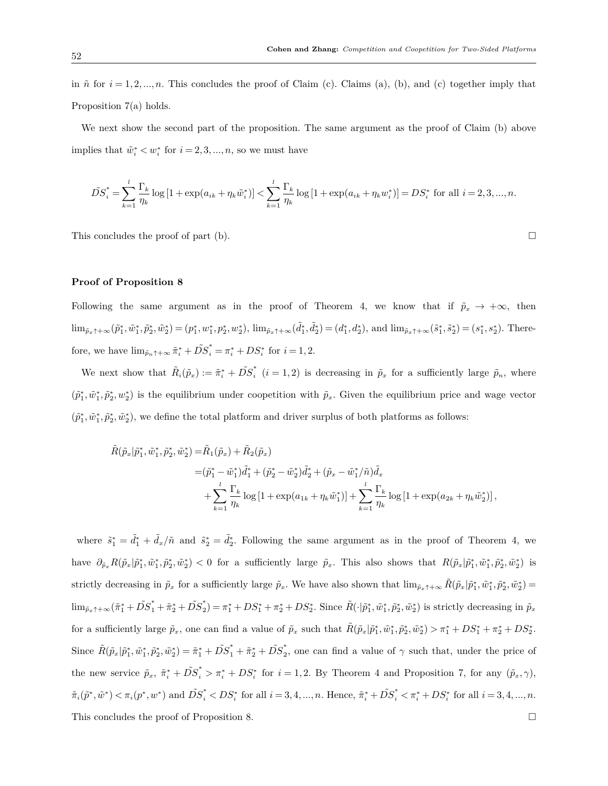in  $\tilde{n}$  for  $i = 1, 2, \ldots, n$ . This concludes the proof of Claim (c). Claims (a), (b), and (c) together imply that Proposition 7(a) holds.

We next show the second part of the proposition. The same argument as the proof of Claim (b) above implies that  $\tilde{w}_i^* < w_i^*$  for  $i = 2, 3, ..., n$ , so we must have

$$
\tilde{DS}_{i}^{*} = \sum_{k=1}^{l} \frac{\Gamma_{k}}{\eta_{k}} \log \left[ 1 + \exp(a_{ik} + \eta_{k} \tilde{w}_{i}^{*}) \right] < \sum_{k=1}^{l} \frac{\Gamma_{k}}{\eta_{k}} \log \left[ 1 + \exp(a_{ik} + \eta_{k} w_{i}^{*}) \right] = DS_{i}^{*} \text{ for all } i = 2, 3, ..., n.
$$

This concludes the proof of part (b).  $\Box$ 

# **Proof of Proposition 8**

Following the same argument as in the proof of Theorem 4, we know that if  $\tilde{p}_x \to +\infty$ , then  $\lim_{\tilde{p}_x \uparrow +\infty} (\tilde{p}_1^*, \tilde{w}_1^*, \tilde{p}_2^*, \tilde{w}_2^*) = (p_1^*, w_1^*, p_2^*, w_2^*), \\ \lim_{\tilde{p}_x \uparrow +\infty} (\tilde{d}_1^*, \tilde{d}_2^*) = (d_1^*, d_2^*), \text{ and } \lim_{\tilde{p}_x \uparrow +\infty} (\tilde{s}_1^*, \tilde{s}_2^*) = (s_1^*, s_2^*).$  Therefore, we have  $\lim_{\tilde{p}_n \uparrow +\infty} \tilde{\pi}_i^* + D\tilde{S}_i^* = \pi_i^* + DS_i^*$  for  $i = 1, 2$ .

We next show that  $\tilde{R}_i(\tilde{p}_x) := \tilde{\pi}_i^* + \tilde{DS}_i^*$  $\tilde{\rho}_i$  (*i* = 1, 2) is decreasing in  $\tilde{p}_x$  for a sufficiently large  $\tilde{p}_n$ , where  $(\tilde{p}_1^*, \tilde{w}_1^*, \tilde{p}_2^*, w_2^*)$  is the equilibrium under coopetition with  $\tilde{p}_x$ . Given the equilibrium price and wage vector  $(\tilde{p}_1^*, \tilde{w}_1^*, \tilde{p}_2^*, \tilde{w}_2^*)$ , we define the total platform and driver surplus of both platforms as follows:

$$
\tilde{R}(\tilde{p}_x|\tilde{p}_1^*, \tilde{w}_1^*, \tilde{p}_2^*, \tilde{w}_2^*) = \tilde{R}_1(\tilde{p}_x) + \tilde{R}_2(\tilde{p}_x)
$$
\n
$$
= (\tilde{p}_1^* - \tilde{w}_1^*)\tilde{d}_1^* + (\tilde{p}_2^* - \tilde{w}_2^*)\tilde{d}_2^* + (\tilde{p}_x - \tilde{w}_1^*/\tilde{n})\tilde{d}_x
$$
\n
$$
+ \sum_{k=1}^l \frac{\Gamma_k}{\eta_k} \log\left[1 + \exp(a_{1k} + \eta_k \tilde{w}_1^*)\right] + \sum_{k=1}^l \frac{\Gamma_k}{\eta_k} \log\left[1 + \exp(a_{2k} + \eta_k \tilde{w}_2^*)\right],
$$

where  $\tilde{s}_1^* = \tilde{d}_1^* + \tilde{d}_x/\tilde{n}$  and  $\tilde{s}_2^* = \tilde{d}_2^*$ . Following the same argument as in the proof of Theorem 4, we have  $\partial_{\tilde{p}_x} R(\tilde{p}_x|\tilde{p}_1^*, \tilde{w}_1^*, \tilde{p}_2^*, \tilde{w}_2^*)$  < 0 for a sufficiently large  $\tilde{p}_x$ . This also shows that  $R(\tilde{p}_x|\tilde{p}_1^*, \tilde{w}_1^*, \tilde{p}_2^*, \tilde{w}_2^*)$  is strictly decreasing in  $\tilde{p}_x$  for a sufficiently large  $\tilde{p}_x$ . We have also shown that  $\lim_{\tilde{p}_x \uparrow +\infty} \tilde{R}(\tilde{p}_x|\tilde{p}_1^*, \tilde{w}_1^*, \tilde{p}_2^*, \tilde{w}_2^*)$  $\lim_{\tilde{p}_x \uparrow +\infty} (\tilde{\pi}_1^* + \tilde{DS}_1^* + \tilde{\pi}_2^* + \tilde{DS}_2^*$  $\tilde{A}_2^*$ ) =  $\pi_1^* + DS_1^* + \pi_2^* + DS_2^*$ . Since  $\tilde{R}(\cdot|\tilde{p}_1^*, \tilde{w}_1^*, \tilde{p}_2^*, \tilde{w}_2^*)$  is strictly decreasing in  $\tilde{p}_x$ for a sufficiently large  $\tilde{p}_x$ , one can find a value of  $\tilde{p}_x$  such that  $\tilde{R}(\tilde{p}_x|\tilde{p}_1^*, \tilde{w}_1^*, \tilde{p}_2^*, \tilde{w}_2^*) > \pi_1^* + DS_1^* + \pi_2^* + DS_2^*$ . Since  $\tilde{R}(\tilde{p}_x|\tilde{p}_1^*, \tilde{w}_1^*, \tilde{p}_2^*, \tilde{w}_2^*) = \tilde{\pi}_1^* + \tilde{DS}_1^* + \tilde{\pi}_2^* + \tilde{DS}_2^*$  $\frac{1}{2}$ , one can find a value of  $\gamma$  such that, under the price of the new service  $\tilde{p}_x$ ,  $\tilde{\pi}_i^* + \tilde{DS}_i^* > \pi_i^* + DS_i^*$  for  $i = 1, 2$ . By Theorem 4 and Proposition 7, for any  $(\tilde{p}_x, \gamma)$ ,  $\tilde{\pi}_i(\tilde{p}^*, \tilde{w}^*) < \pi_i(p^*, w^*)$  and  $\tilde{DS}_i^* < DS_i^*$  for all  $i = 3, 4, ..., n$ . Hence,  $\tilde{\pi}_i^* + \tilde{DS}_i^* < \pi_i^* + DS_i^*$  for all  $i = 3, 4, ..., n$ . This concludes the proof of Proposition 8.  $\Box$